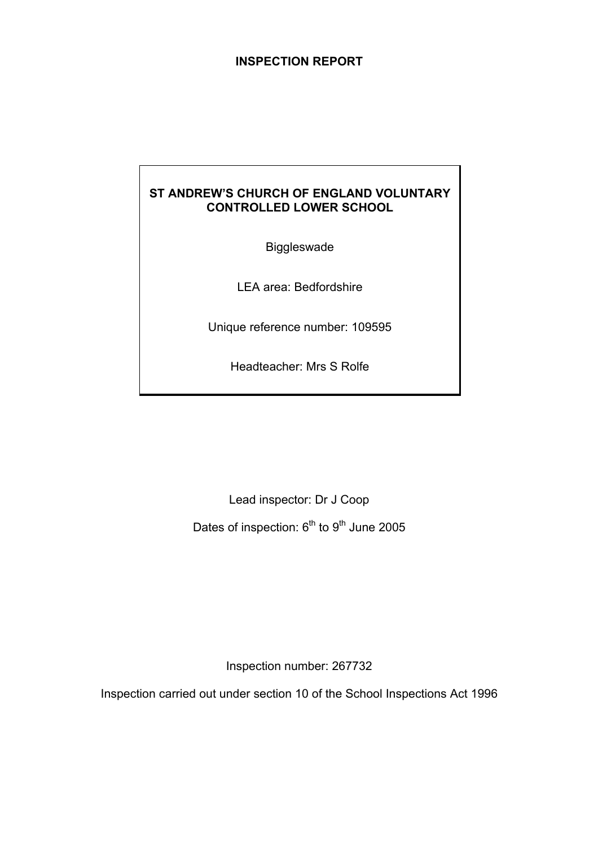# **INSPECTION REPORT**

# **ST ANDREW'S CHURCH OF ENGLAND VOLUNTARY CONTROLLED LOWER SCHOOL**

Biggleswade

LEA area: Bedfordshire

Unique reference number: 109595

Headteacher: Mrs S Rolfe

Lead inspector: Dr J Coop Dates of inspection: 6<sup>th</sup> to 9<sup>th</sup> June 2005

Inspection number: 267732

Inspection carried out under section 10 of the School Inspections Act 1996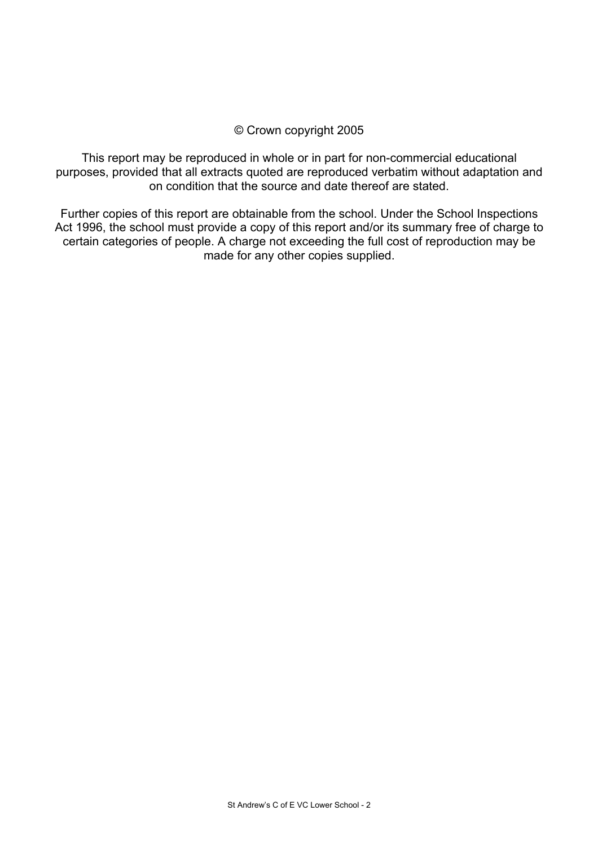#### © Crown copyright 2005

This report may be reproduced in whole or in part for non-commercial educational purposes, provided that all extracts quoted are reproduced verbatim without adaptation and on condition that the source and date thereof are stated.

Further copies of this report are obtainable from the school. Under the School Inspections Act 1996, the school must provide a copy of this report and/or its summary free of charge to certain categories of people. A charge not exceeding the full cost of reproduction may be made for any other copies supplied.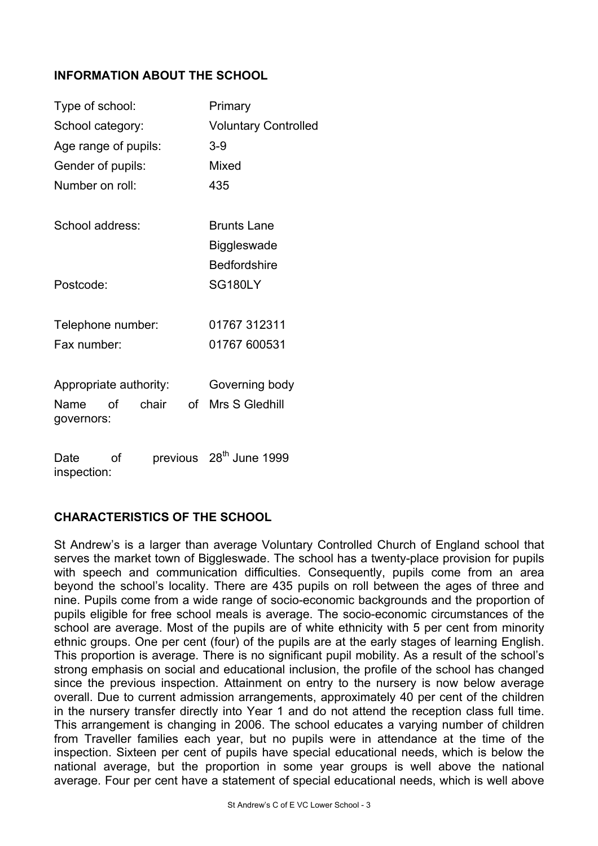# **INFORMATION ABOUT THE SCHOOL**

| Type of school:                   | Primary                     |                                     |  |  |
|-----------------------------------|-----------------------------|-------------------------------------|--|--|
| School category:                  | <b>Voluntary Controlled</b> |                                     |  |  |
| Age range of pupils:              |                             | $3-9$                               |  |  |
| Gender of pupils:                 |                             | Mixed                               |  |  |
| Number on roll:                   |                             | 435                                 |  |  |
| School address:                   |                             | <b>Brunts Lane</b>                  |  |  |
|                                   |                             | <b>Biggleswade</b>                  |  |  |
|                                   |                             | <b>Bedfordshire</b>                 |  |  |
| Postcode:                         |                             | <b>SG180LY</b>                      |  |  |
| Telephone number:                 |                             | 01767 312311                        |  |  |
| Fax number:                       |                             | 01767 600531                        |  |  |
| Appropriate authority:            |                             | Governing body                      |  |  |
| chair<br>Name<br>Ωf<br>governors: | of                          | Mrs S Gledhill                      |  |  |
| Date<br>Ωf<br>inspection:         |                             | previous 28 <sup>th</sup> June 1999 |  |  |

# **CHARACTERISTICS OF THE SCHOOL**

St Andrew's is a larger than average Voluntary Controlled Church of England school that serves the market town of Biggleswade. The school has a twenty-place provision for pupils with speech and communication difficulties. Consequently, pupils come from an area beyond the school's locality. There are 435 pupils on roll between the ages of three and nine. Pupils come from a wide range of socio-economic backgrounds and the proportion of pupils eligible for free school meals is average. The socio-economic circumstances of the school are average. Most of the pupils are of white ethnicity with 5 per cent from minority ethnic groups. One per cent (four) of the pupils are at the early stages of learning English. This proportion is average. There is no significant pupil mobility. As a result of the school's strong emphasis on social and educational inclusion, the profile of the school has changed since the previous inspection. Attainment on entry to the nursery is now below average overall. Due to current admission arrangements, approximately 40 per cent of the children in the nursery transfer directly into Year 1 and do not attend the reception class full time. This arrangement is changing in 2006. The school educates a varying number of children from Traveller families each year, but no pupils were in attendance at the time of the inspection. Sixteen per cent of pupils have special educational needs, which is below the national average, but the proportion in some year groups is well above the national average. Four per cent have a statement of special educational needs, which is well above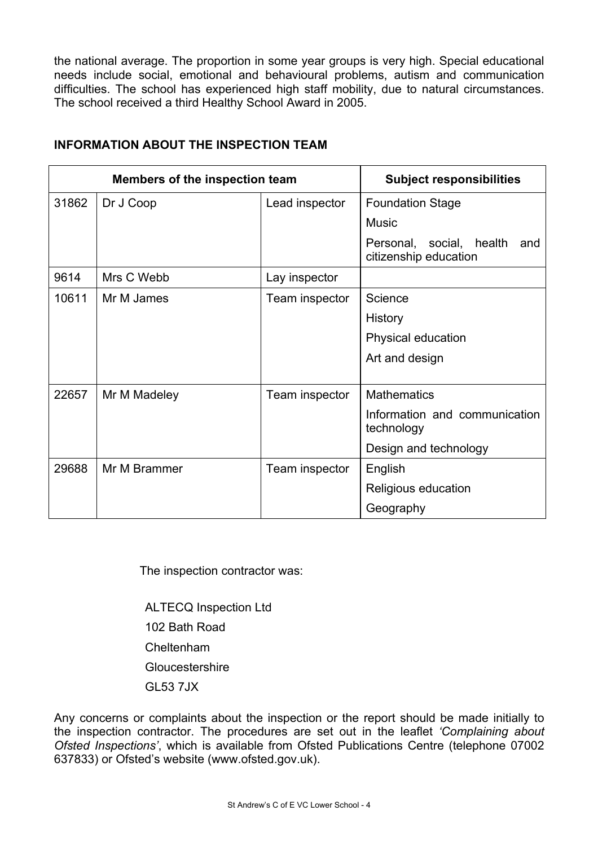the national average. The proportion in some year groups is very high. Special educational needs include social, emotional and behavioural problems, autism and communication difficulties. The school has experienced high staff mobility, due to natural circumstances. The school received a third Healthy School Award in 2005.

| Members of the inspection team |              | <b>Subject responsibilities</b> |                                                          |  |
|--------------------------------|--------------|---------------------------------|----------------------------------------------------------|--|
| 31862                          | Dr J Coop    | Lead inspector                  | <b>Foundation Stage</b>                                  |  |
|                                |              |                                 | <b>Music</b>                                             |  |
|                                |              |                                 | Personal, social, health<br>and<br>citizenship education |  |
| 9614                           | Mrs C Webb   | Lay inspector                   |                                                          |  |
| 10611                          | Mr M James   | Team inspector                  | Science                                                  |  |
|                                |              |                                 | History                                                  |  |
|                                |              |                                 | Physical education                                       |  |
|                                |              |                                 | Art and design                                           |  |
|                                |              |                                 |                                                          |  |
| 22657                          | Mr M Madeley | Team inspector                  | <b>Mathematics</b>                                       |  |
|                                |              |                                 | Information and communication<br>technology              |  |
|                                |              |                                 | Design and technology                                    |  |
| 29688                          | Mr M Brammer | Team inspector                  | English                                                  |  |
|                                |              |                                 | Religious education                                      |  |
|                                |              |                                 | Geography                                                |  |

# **INFORMATION ABOUT THE INSPECTION TEAM**

The inspection contractor was:

 ALTECQ Inspection Ltd 102 Bath Road Cheltenham **Gloucestershire** GL53 7JX

Any concerns or complaints about the inspection or the report should be made initially to the inspection contractor. The procedures are set out in the leaflet *'Complaining about Ofsted Inspections'*, which is available from Ofsted Publications Centre (telephone 07002 637833) or Ofsted's website (www.ofsted.gov.uk).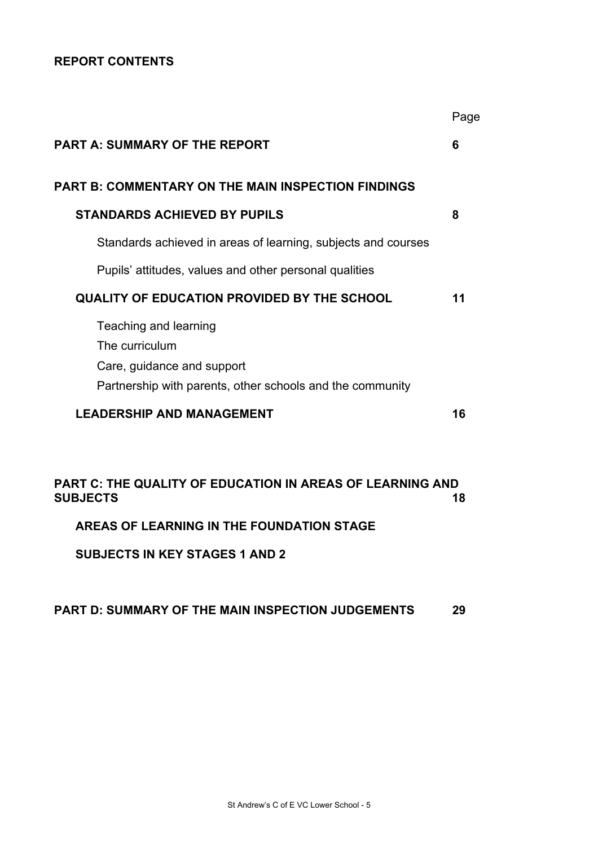# **REPORT CONTENTS**

|                                                                              | Page |
|------------------------------------------------------------------------------|------|
| <b>PART A: SUMMARY OF THE REPORT</b>                                         | 6    |
| PART B: COMMENTARY ON THE MAIN INSPECTION FINDINGS                           |      |
| <b>STANDARDS ACHIEVED BY PUPILS</b>                                          | 8    |
| Standards achieved in areas of learning, subjects and courses                |      |
| Pupils' attitudes, values and other personal qualities                       |      |
| <b>QUALITY OF EDUCATION PROVIDED BY THE SCHOOL</b>                           | 11   |
| Teaching and learning                                                        |      |
| The curriculum                                                               |      |
| Care, guidance and support                                                   |      |
| Partnership with parents, other schools and the community                    |      |
| <b>LEADERSHIP AND MANAGEMENT</b>                                             | 16   |
|                                                                              |      |
| PART C: THE QUALITY OF EDUCATION IN AREAS OF LEARNING AND<br><b>SUBJECTS</b> | 18   |
| AREAS OF LEARNING IN THE FOUNDATION STAGE                                    |      |
|                                                                              |      |

**SUBJECTS IN KEY STAGES 1 AND 2** 

#### **PART D: SUMMARY OF THE MAIN INSPECTION JUDGEMENTS 29**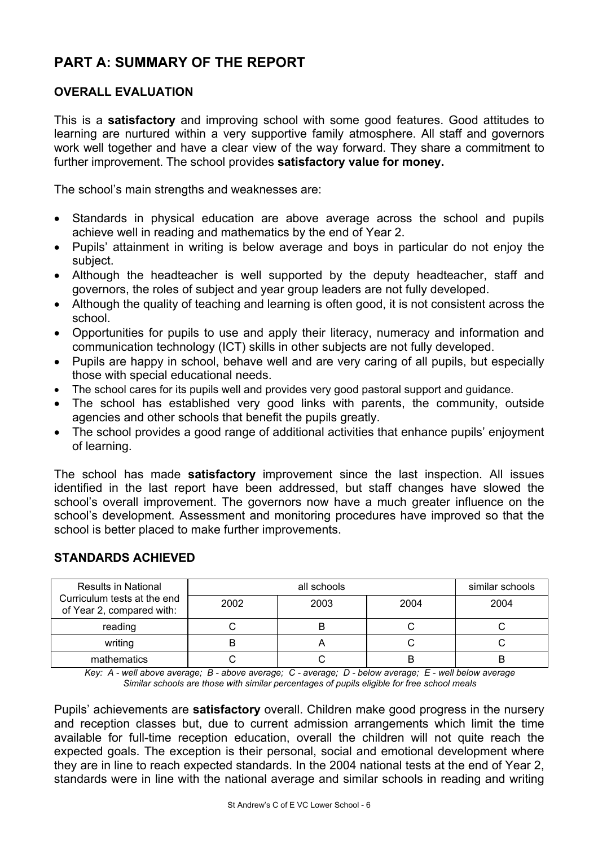# **PART A: SUMMARY OF THE REPORT**

# **OVERALL EVALUATION**

This is a **satisfactory** and improving school with some good features. Good attitudes to learning are nurtured within a very supportive family atmosphere. All staff and governors work well together and have a clear view of the way forward. They share a commitment to further improvement. The school provides **satisfactory value for money.**

The school's main strengths and weaknesses are:

- Standards in physical education are above average across the school and pupils achieve well in reading and mathematics by the end of Year 2.
- Pupils' attainment in writing is below average and boys in particular do not enjoy the subject.
- Although the headteacher is well supported by the deputy headteacher, staff and governors, the roles of subject and year group leaders are not fully developed.
- Although the quality of teaching and learning is often good, it is not consistent across the school.
- Opportunities for pupils to use and apply their literacy, numeracy and information and communication technology (ICT) skills in other subjects are not fully developed.
- Pupils are happy in school, behave well and are very caring of all pupils, but especially those with special educational needs.
- The school cares for its pupils well and provides very good pastoral support and guidance.
- The school has established very good links with parents, the community, outside agencies and other schools that benefit the pupils greatly.
- The school provides a good range of additional activities that enhance pupils' enjoyment of learning.

The school has made **satisfactory** improvement since the last inspection. All issues identified in the last report have been addressed, but staff changes have slowed the school's overall improvement. The governors now have a much greater influence on the school's development. Assessment and monitoring procedures have improved so that the school is better placed to make further improvements.

| <b>Results in National</b>                               |      | similar schools |      |      |
|----------------------------------------------------------|------|-----------------|------|------|
| Curriculum tests at the end<br>of Year 2, compared with: | 2002 | 2003            | 2004 | 2004 |
| reading                                                  |      | В               |      |      |
| writing                                                  |      |                 |      |      |
| mathematics                                              |      |                 |      |      |

#### **STANDARDS ACHIEVED**

*Key: A - well above average; B - above average; C - average; D - below average; E - well below average Similar schools are those with similar percentages of pupils eligible for free school meals* 

Pupils' achievements are **satisfactory** overall. Children make good progress in the nursery and reception classes but, due to current admission arrangements which limit the time available for full-time reception education, overall the children will not quite reach the expected goals. The exception is their personal, social and emotional development where they are in line to reach expected standards. In the 2004 national tests at the end of Year 2, standards were in line with the national average and similar schools in reading and writing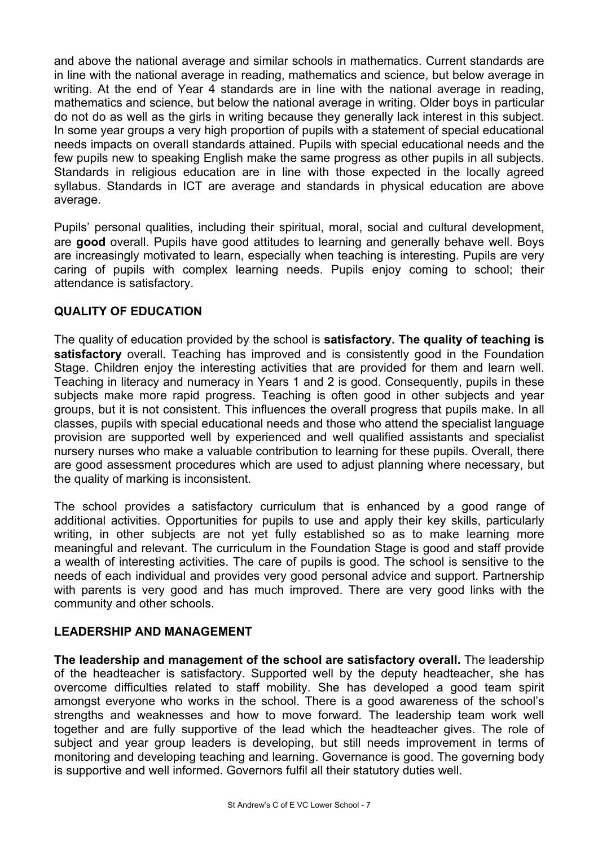and above the national average and similar schools in mathematics. Current standards are in line with the national average in reading, mathematics and science, but below average in writing. At the end of Year 4 standards are in line with the national average in reading, mathematics and science, but below the national average in writing. Older boys in particular do not do as well as the girls in writing because they generally lack interest in this subject. In some year groups a very high proportion of pupils with a statement of special educational needs impacts on overall standards attained. Pupils with special educational needs and the few pupils new to speaking English make the same progress as other pupils in all subjects. Standards in religious education are in line with those expected in the locally agreed syllabus. Standards in ICT are average and standards in physical education are above average.

Pupils' personal qualities, including their spiritual, moral, social and cultural development, are **good** overall. Pupils have good attitudes to learning and generally behave well. Boys are increasingly motivated to learn, especially when teaching is interesting. Pupils are very caring of pupils with complex learning needs. Pupils enjoy coming to school; their attendance is satisfactory.

# **QUALITY OF EDUCATION**

The quality of education provided by the school is **satisfactory. The quality of teaching is satisfactory** overall. Teaching has improved and is consistently good in the Foundation Stage. Children enjoy the interesting activities that are provided for them and learn well. Teaching in literacy and numeracy in Years 1 and 2 is good. Consequently, pupils in these subjects make more rapid progress. Teaching is often good in other subjects and year groups, but it is not consistent. This influences the overall progress that pupils make. In all classes, pupils with special educational needs and those who attend the specialist language provision are supported well by experienced and well qualified assistants and specialist nursery nurses who make a valuable contribution to learning for these pupils. Overall, there are good assessment procedures which are used to adjust planning where necessary, but the quality of marking is inconsistent.

The school provides a satisfactory curriculum that is enhanced by a good range of additional activities. Opportunities for pupils to use and apply their key skills, particularly writing, in other subjects are not yet fully established so as to make learning more meaningful and relevant. The curriculum in the Foundation Stage is good and staff provide a wealth of interesting activities. The care of pupils is good. The school is sensitive to the needs of each individual and provides very good personal advice and support. Partnership with parents is very good and has much improved. There are very good links with the community and other schools.

# **LEADERSHIP AND MANAGEMENT**

**The leadership and management of the school are satisfactory overall.** The leadership of the headteacher is satisfactory. Supported well by the deputy headteacher, she has overcome difficulties related to staff mobility. She has developed a good team spirit amongst everyone who works in the school. There is a good awareness of the school's strengths and weaknesses and how to move forward. The leadership team work well together and are fully supportive of the lead which the headteacher gives. The role of subject and year group leaders is developing, but still needs improvement in terms of monitoring and developing teaching and learning. Governance is good. The governing body is supportive and well informed. Governors fulfil all their statutory duties well.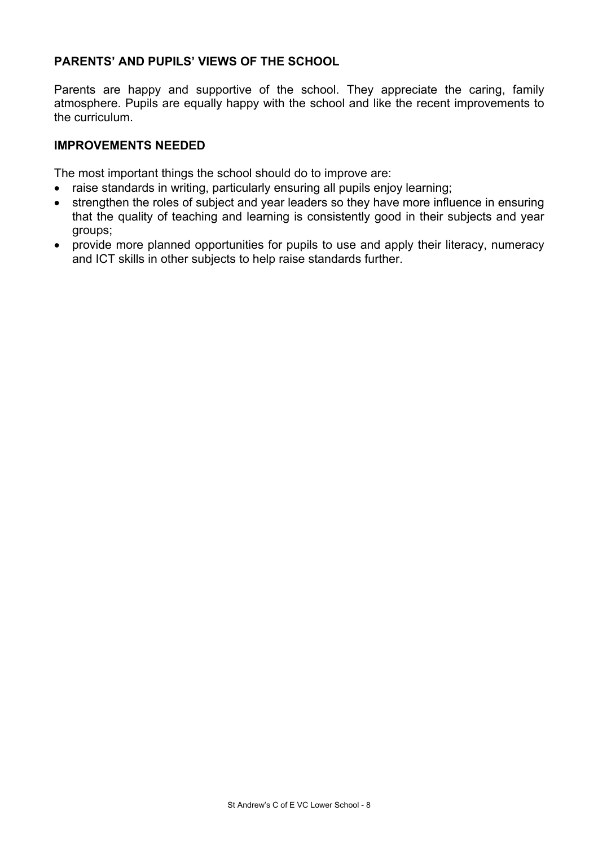# **PARENTS' AND PUPILS' VIEWS OF THE SCHOOL**

Parents are happy and supportive of the school. They appreciate the caring, family atmosphere. Pupils are equally happy with the school and like the recent improvements to the curriculum.

#### **IMPROVEMENTS NEEDED**

The most important things the school should do to improve are:

- raise standards in writing, particularly ensuring all pupils enjoy learning;
- strengthen the roles of subject and year leaders so they have more influence in ensuring that the quality of teaching and learning is consistently good in their subjects and year groups;
- provide more planned opportunities for pupils to use and apply their literacy, numeracy and ICT skills in other subjects to help raise standards further.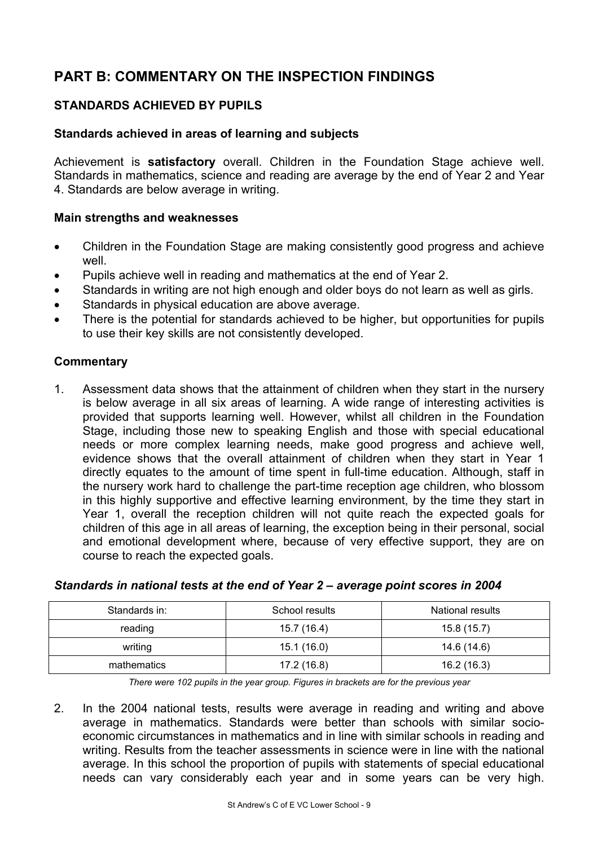# **PART B: COMMENTARY ON THE INSPECTION FINDINGS**

# **STANDARDS ACHIEVED BY PUPILS**

#### **Standards achieved in areas of learning and subjects**

Achievement is **satisfactory** overall. Children in the Foundation Stage achieve well. Standards in mathematics, science and reading are average by the end of Year 2 and Year 4. Standards are below average in writing.

#### **Main strengths and weaknesses**

- Children in the Foundation Stage are making consistently good progress and achieve well.
- Pupils achieve well in reading and mathematics at the end of Year 2.
- Standards in writing are not high enough and older boys do not learn as well as girls.
- Standards in physical education are above average.
- There is the potential for standards achieved to be higher, but opportunities for pupils to use their key skills are not consistently developed.

# **Commentary**

1. Assessment data shows that the attainment of children when they start in the nursery is below average in all six areas of learning. A wide range of interesting activities is provided that supports learning well. However, whilst all children in the Foundation Stage, including those new to speaking English and those with special educational needs or more complex learning needs, make good progress and achieve well, evidence shows that the overall attainment of children when they start in Year 1 directly equates to the amount of time spent in full-time education. Although, staff in the nursery work hard to challenge the part-time reception age children, who blossom in this highly supportive and effective learning environment, by the time they start in Year 1, overall the reception children will not quite reach the expected goals for children of this age in all areas of learning, the exception being in their personal, social and emotional development where, because of very effective support, they are on course to reach the expected goals.

| Standards in: | School results | National results |
|---------------|----------------|------------------|
| reading       | 15.7 (16.4)    | 15.8(15.7)       |
| writing       | 15.1(16.0)     | 14.6 (14.6)      |
| mathematics   | 17.2 (16.8)    | 16.2(16.3)       |

#### *Standards in national tests at the end of Year 2 – average point scores in 2004*

*There were 102 pupils in the year group. Figures in brackets are for the previous year* 

2. In the 2004 national tests, results were average in reading and writing and above average in mathematics. Standards were better than schools with similar socioeconomic circumstances in mathematics and in line with similar schools in reading and writing. Results from the teacher assessments in science were in line with the national average. In this school the proportion of pupils with statements of special educational needs can vary considerably each year and in some years can be very high.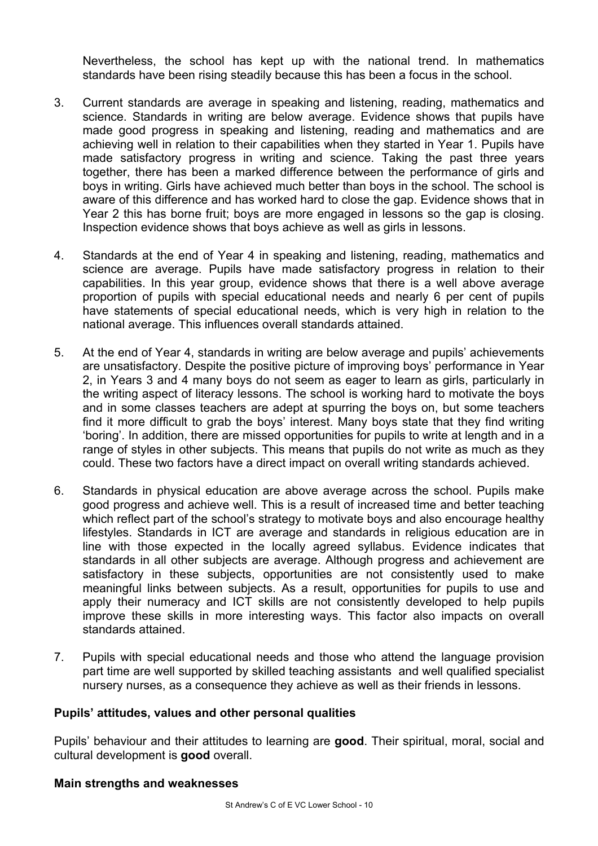Nevertheless, the school has kept up with the national trend. In mathematics standards have been rising steadily because this has been a focus in the school.

- 3. Current standards are average in speaking and listening, reading, mathematics and science. Standards in writing are below average. Evidence shows that pupils have made good progress in speaking and listening, reading and mathematics and are achieving well in relation to their capabilities when they started in Year 1. Pupils have made satisfactory progress in writing and science. Taking the past three years together, there has been a marked difference between the performance of girls and boys in writing. Girls have achieved much better than boys in the school. The school is aware of this difference and has worked hard to close the gap. Evidence shows that in Year 2 this has borne fruit; boys are more engaged in lessons so the gap is closing. Inspection evidence shows that boys achieve as well as girls in lessons.
- 4. Standards at the end of Year 4 in speaking and listening, reading, mathematics and science are average. Pupils have made satisfactory progress in relation to their capabilities. In this year group, evidence shows that there is a well above average proportion of pupils with special educational needs and nearly 6 per cent of pupils have statements of special educational needs, which is very high in relation to the national average. This influences overall standards attained.
- 5. At the end of Year 4, standards in writing are below average and pupils' achievements are unsatisfactory. Despite the positive picture of improving boys' performance in Year 2, in Years 3 and 4 many boys do not seem as eager to learn as girls, particularly in the writing aspect of literacy lessons. The school is working hard to motivate the boys and in some classes teachers are adept at spurring the boys on, but some teachers find it more difficult to grab the boys' interest. Many boys state that they find writing 'boring'. In addition, there are missed opportunities for pupils to write at length and in a range of styles in other subjects. This means that pupils do not write as much as they could. These two factors have a direct impact on overall writing standards achieved.
- 6. Standards in physical education are above average across the school. Pupils make good progress and achieve well. This is a result of increased time and better teaching which reflect part of the school's strategy to motivate boys and also encourage healthy lifestyles. Standards in ICT are average and standards in religious education are in line with those expected in the locally agreed syllabus. Evidence indicates that standards in all other subjects are average. Although progress and achievement are satisfactory in these subjects, opportunities are not consistently used to make meaningful links between subjects. As a result, opportunities for pupils to use and apply their numeracy and ICT skills are not consistently developed to help pupils improve these skills in more interesting ways. This factor also impacts on overall standards attained.
- 7. Pupils with special educational needs and those who attend the language provision part time are well supported by skilled teaching assistants and well qualified specialist nursery nurses, as a consequence they achieve as well as their friends in lessons.

#### **Pupils' attitudes, values and other personal qualities**

Pupils' behaviour and their attitudes to learning are **good**. Their spiritual, moral, social and cultural development is **good** overall.

#### **Main strengths and weaknesses**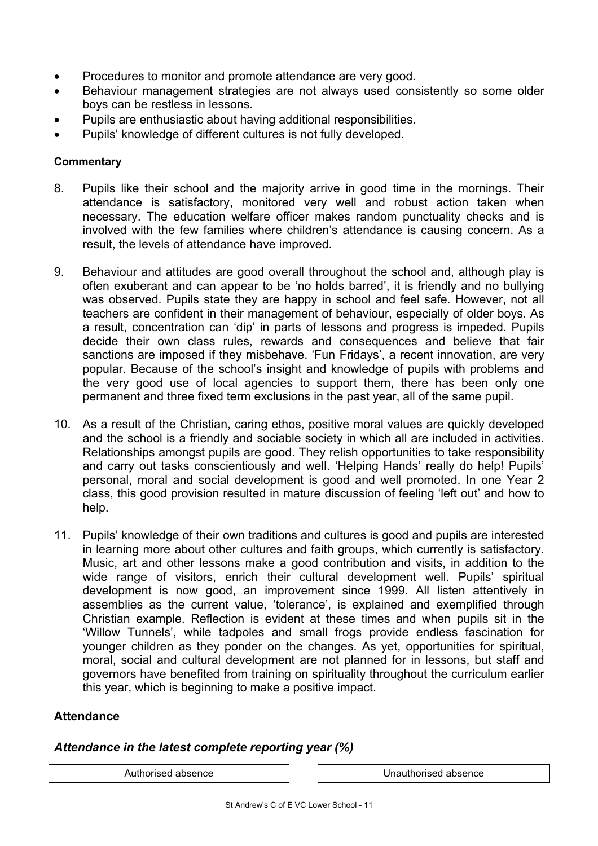- Procedures to monitor and promote attendance are very good.
- Behaviour management strategies are not always used consistently so some older boys can be restless in lessons.
- Pupils are enthusiastic about having additional responsibilities.
- Pupils' knowledge of different cultures is not fully developed.

#### **Commentary**

- 8. Pupils like their school and the majority arrive in good time in the mornings. Their attendance is satisfactory, monitored very well and robust action taken when necessary. The education welfare officer makes random punctuality checks and is involved with the few families where children's attendance is causing concern. As a result, the levels of attendance have improved.
- 9. Behaviour and attitudes are good overall throughout the school and, although play is often exuberant and can appear to be 'no holds barred', it is friendly and no bullying was observed. Pupils state they are happy in school and feel safe. However, not all teachers are confident in their management of behaviour, especially of older boys. As a result, concentration can 'dip' in parts of lessons and progress is impeded. Pupils decide their own class rules, rewards and consequences and believe that fair sanctions are imposed if they misbehave. 'Fun Fridays', a recent innovation, are very popular. Because of the school's insight and knowledge of pupils with problems and the very good use of local agencies to support them, there has been only one permanent and three fixed term exclusions in the past year, all of the same pupil.
- 10. As a result of the Christian, caring ethos, positive moral values are quickly developed and the school is a friendly and sociable society in which all are included in activities. Relationships amongst pupils are good. They relish opportunities to take responsibility and carry out tasks conscientiously and well. 'Helping Hands' really do help! Pupils' personal, moral and social development is good and well promoted. In one Year 2 class, this good provision resulted in mature discussion of feeling 'left out' and how to help.
- 11. Pupils' knowledge of their own traditions and cultures is good and pupils are interested in learning more about other cultures and faith groups, which currently is satisfactory. Music, art and other lessons make a good contribution and visits, in addition to the wide range of visitors, enrich their cultural development well. Pupils' spiritual development is now good, an improvement since 1999. All listen attentively in assemblies as the current value, 'tolerance', is explained and exemplified through Christian example. Reflection is evident at these times and when pupils sit in the 'Willow Tunnels', while tadpoles and small frogs provide endless fascination for younger children as they ponder on the changes. As yet, opportunities for spiritual, moral, social and cultural development are not planned for in lessons, but staff and governors have benefited from training on spirituality throughout the curriculum earlier this year, which is beginning to make a positive impact.

#### **Attendance**

#### *Attendance in the latest complete reporting year (%)*

Authorised absence Unauthorised absence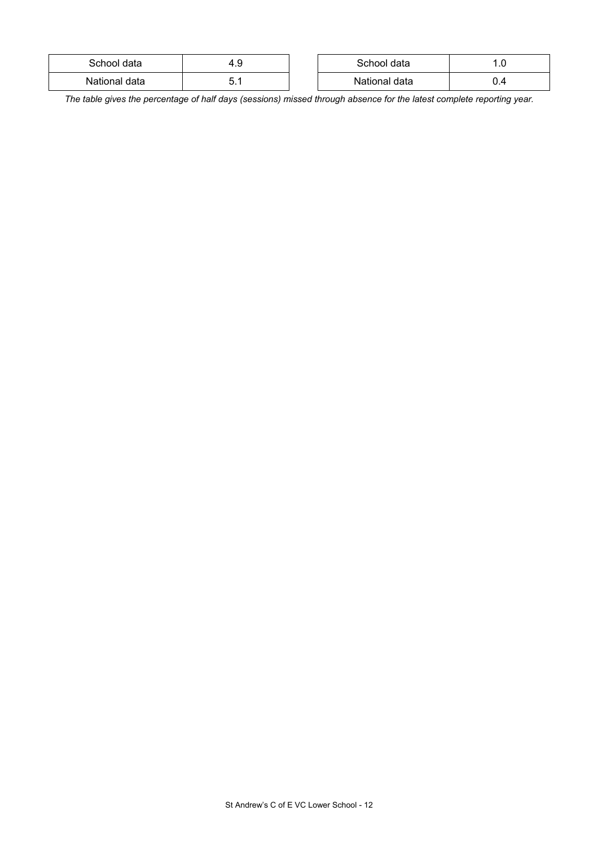| School data   | ⊤. J | School data   | . . ب |
|---------------|------|---------------|-------|
| National data | ບ. ເ | National data | ∪.−   |

*The table gives the percentage of half days (sessions) missed through absence for the latest complete reporting year.*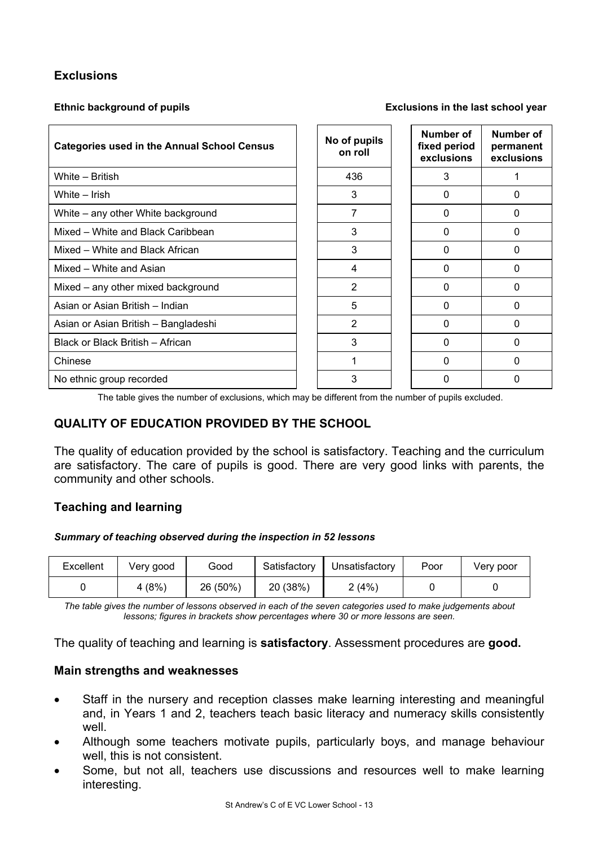# **Exclusions**

#### **Ethnic background of pupils Exclusions in the last school year**

| <b>Categories used in the Annual School Census</b> | No of pupils<br>on roll | Number of<br>fixed period<br>exclusions | Number of<br>permanent<br>exclusions |
|----------------------------------------------------|-------------------------|-----------------------------------------|--------------------------------------|
| White - British                                    | 436                     | 3                                       |                                      |
| White – Irish                                      | 3                       | 0                                       | 0                                    |
| White – any other White background                 | 7                       | 0                                       | $\Omega$                             |
| Mixed – White and Black Caribbean                  | 3                       | 0                                       | 0                                    |
| Mixed - White and Black African                    | 3                       | 0                                       | 0                                    |
| Mixed – White and Asian                            | 4                       | 0                                       | 0                                    |
| Mixed – any other mixed background                 | $\overline{2}$          | 0                                       | $\Omega$                             |
| Asian or Asian British - Indian                    | 5                       | 0                                       | 0                                    |
| Asian or Asian British - Bangladeshi               | $\overline{2}$          | 0                                       | 0                                    |
| Black or Black British - African                   | 3                       | 0                                       | 0                                    |
| Chinese                                            | 1                       | 0                                       | 0                                    |
| No ethnic group recorded                           | 3                       | 0                                       | O                                    |

The table gives the number of exclusions, which may be different from the number of pupils excluded.

# **QUALITY OF EDUCATION PROVIDED BY THE SCHOOL**

The quality of education provided by the school is satisfactory. Teaching and the curriculum are satisfactory. The care of pupils is good. There are very good links with parents, the community and other schools.

#### **Teaching and learning**

#### *Summary of teaching observed during the inspection in 52 lessons*

| Excellent | Very good | Good     | Satisfactory | Unsatisfactory | Poor | Very poor |
|-----------|-----------|----------|--------------|----------------|------|-----------|
|           | 4(8%)     | 26 (50%) | 20 (38%)     | 2(4%)          |      |           |

*The table gives the number of lessons observed in each of the seven categories used to make judgements about lessons; figures in brackets show percentages where 30 or more lessons are seen.* 

The quality of teaching and learning is **satisfactory**. Assessment procedures are **good.**

#### **Main strengths and weaknesses**

- Staff in the nursery and reception classes make learning interesting and meaningful and, in Years 1 and 2, teachers teach basic literacy and numeracy skills consistently well.
- Although some teachers motivate pupils, particularly boys, and manage behaviour well, this is not consistent.
- Some, but not all, teachers use discussions and resources well to make learning interesting.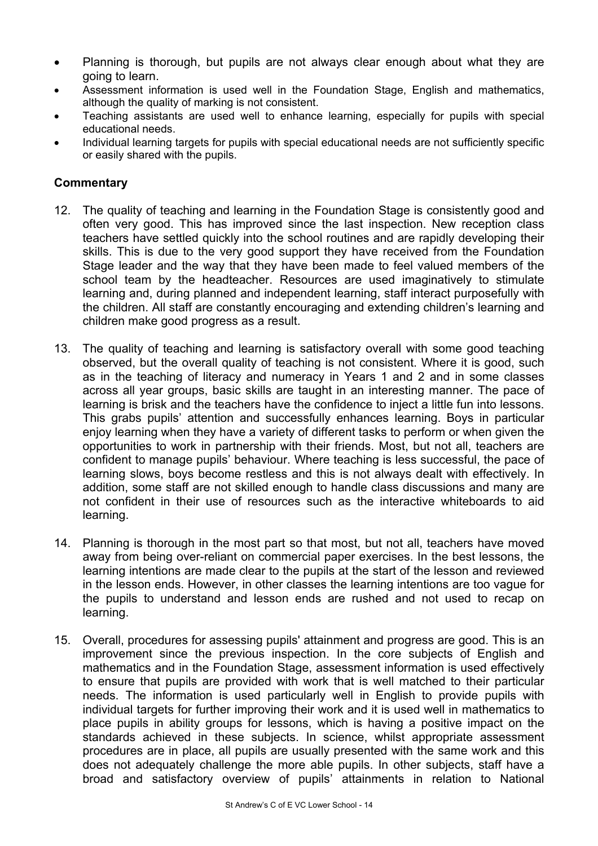- Planning is thorough, but pupils are not always clear enough about what they are going to learn.
- Assessment information is used well in the Foundation Stage, English and mathematics, although the quality of marking is not consistent.
- Teaching assistants are used well to enhance learning, especially for pupils with special educational needs.
- Individual learning targets for pupils with special educational needs are not sufficiently specific or easily shared with the pupils.

- 12. The quality of teaching and learning in the Foundation Stage is consistently good and often very good. This has improved since the last inspection. New reception class teachers have settled quickly into the school routines and are rapidly developing their skills. This is due to the very good support they have received from the Foundation Stage leader and the way that they have been made to feel valued members of the school team by the headteacher. Resources are used imaginatively to stimulate learning and, during planned and independent learning, staff interact purposefully with the children. All staff are constantly encouraging and extending children's learning and children make good progress as a result.
- 13. The quality of teaching and learning is satisfactory overall with some good teaching observed, but the overall quality of teaching is not consistent. Where it is good, such as in the teaching of literacy and numeracy in Years 1 and 2 and in some classes across all year groups, basic skills are taught in an interesting manner. The pace of learning is brisk and the teachers have the confidence to inject a little fun into lessons. This grabs pupils' attention and successfully enhances learning. Boys in particular enjoy learning when they have a variety of different tasks to perform or when given the opportunities to work in partnership with their friends. Most, but not all, teachers are confident to manage pupils' behaviour. Where teaching is less successful, the pace of learning slows, boys become restless and this is not always dealt with effectively. In addition, some staff are not skilled enough to handle class discussions and many are not confident in their use of resources such as the interactive whiteboards to aid learning.
- 14. Planning is thorough in the most part so that most, but not all, teachers have moved away from being over-reliant on commercial paper exercises. In the best lessons, the learning intentions are made clear to the pupils at the start of the lesson and reviewed in the lesson ends. However, in other classes the learning intentions are too vague for the pupils to understand and lesson ends are rushed and not used to recap on learning.
- 15. Overall, procedures for assessing pupils' attainment and progress are good. This is an improvement since the previous inspection. In the core subjects of English and mathematics and in the Foundation Stage, assessment information is used effectively to ensure that pupils are provided with work that is well matched to their particular needs. The information is used particularly well in English to provide pupils with individual targets for further improving their work and it is used well in mathematics to place pupils in ability groups for lessons, which is having a positive impact on the standards achieved in these subjects. In science, whilst appropriate assessment procedures are in place, all pupils are usually presented with the same work and this does not adequately challenge the more able pupils. In other subjects, staff have a broad and satisfactory overview of pupils' attainments in relation to National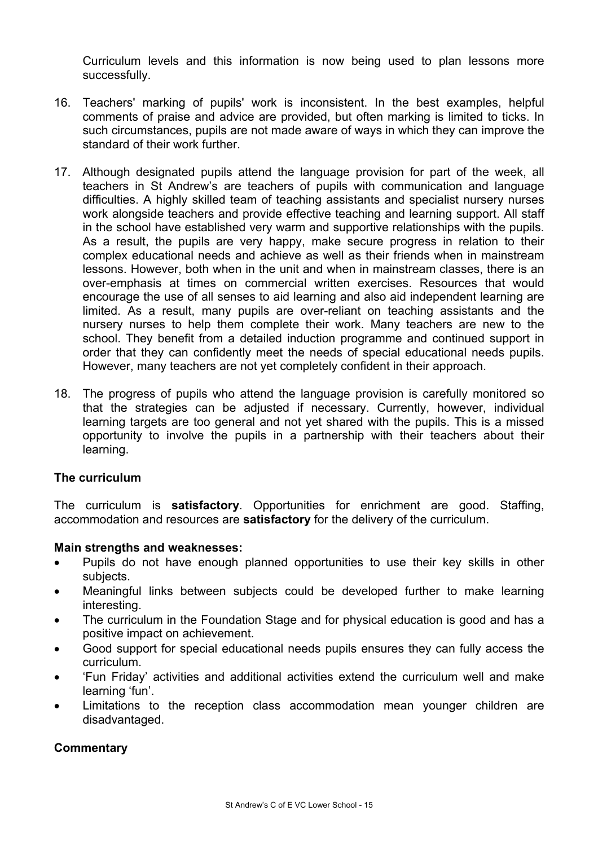Curriculum levels and this information is now being used to plan lessons more successfully.

- 16. Teachers' marking of pupils' work is inconsistent. In the best examples, helpful comments of praise and advice are provided, but often marking is limited to ticks. In such circumstances, pupils are not made aware of ways in which they can improve the standard of their work further.
- 17. Although designated pupils attend the language provision for part of the week, all teachers in St Andrew's are teachers of pupils with communication and language difficulties. A highly skilled team of teaching assistants and specialist nursery nurses work alongside teachers and provide effective teaching and learning support. All staff in the school have established very warm and supportive relationships with the pupils. As a result, the pupils are very happy, make secure progress in relation to their complex educational needs and achieve as well as their friends when in mainstream lessons. However, both when in the unit and when in mainstream classes, there is an over-emphasis at times on commercial written exercises. Resources that would encourage the use of all senses to aid learning and also aid independent learning are limited. As a result, many pupils are over-reliant on teaching assistants and the nursery nurses to help them complete their work. Many teachers are new to the school. They benefit from a detailed induction programme and continued support in order that they can confidently meet the needs of special educational needs pupils. However, many teachers are not yet completely confident in their approach.
- 18. The progress of pupils who attend the language provision is carefully monitored so that the strategies can be adjusted if necessary. Currently, however, individual learning targets are too general and not yet shared with the pupils. This is a missed opportunity to involve the pupils in a partnership with their teachers about their learning.

#### **The curriculum**

The curriculum is **satisfactory**. Opportunities for enrichment are good. Staffing, accommodation and resources are **satisfactory** for the delivery of the curriculum.

#### **Main strengths and weaknesses:**

- Pupils do not have enough planned opportunities to use their key skills in other subjects.
- Meaningful links between subjects could be developed further to make learning interesting.
- The curriculum in the Foundation Stage and for physical education is good and has a positive impact on achievement.
- Good support for special educational needs pupils ensures they can fully access the curriculum.
- 'Fun Friday' activities and additional activities extend the curriculum well and make learning 'fun'.
- Limitations to the reception class accommodation mean younger children are disadvantaged.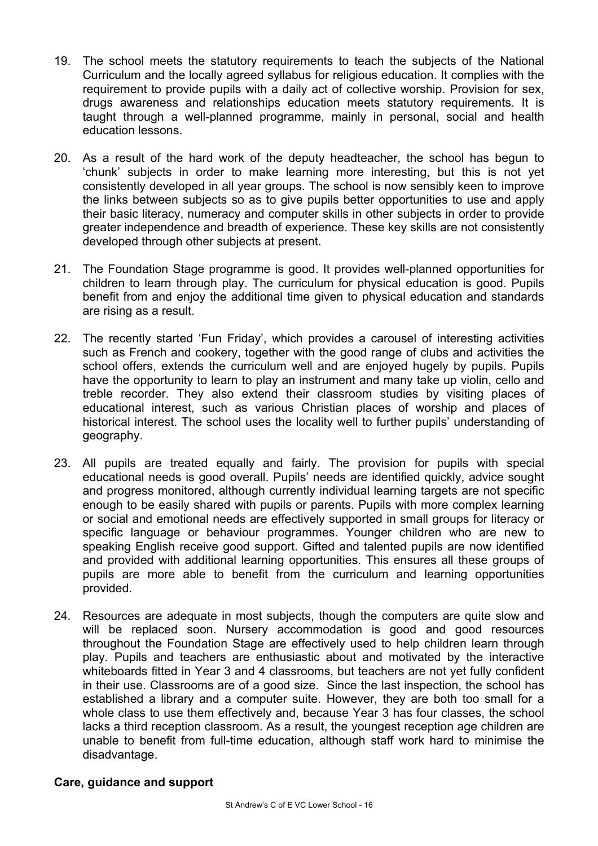- 19. The school meets the statutory requirements to teach the subjects of the National Curriculum and the locally agreed syllabus for religious education. It complies with the requirement to provide pupils with a daily act of collective worship. Provision for sex, drugs awareness and relationships education meets statutory requirements. It is taught through a well-planned programme, mainly in personal, social and health education lessons.
- 20. As a result of the hard work of the deputy headteacher, the school has begun to 'chunk' subjects in order to make learning more interesting, but this is not yet consistently developed in all year groups. The school is now sensibly keen to improve the links between subjects so as to give pupils better opportunities to use and apply their basic literacy, numeracy and computer skills in other subjects in order to provide greater independence and breadth of experience. These key skills are not consistently developed through other subjects at present.
- 21. The Foundation Stage programme is good. It provides well-planned opportunities for children to learn through play. The curriculum for physical education is good. Pupils benefit from and enjoy the additional time given to physical education and standards are rising as a result.
- 22. The recently started 'Fun Friday', which provides a carousel of interesting activities such as French and cookery, together with the good range of clubs and activities the school offers, extends the curriculum well and are enjoyed hugely by pupils. Pupils have the opportunity to learn to play an instrument and many take up violin, cello and treble recorder. They also extend their classroom studies by visiting places of educational interest, such as various Christian places of worship and places of historical interest. The school uses the locality well to further pupils' understanding of geography.
- 23. All pupils are treated equally and fairly. The provision for pupils with special educational needs is good overall. Pupils' needs are identified quickly, advice sought and progress monitored, although currently individual learning targets are not specific enough to be easily shared with pupils or parents. Pupils with more complex learning or social and emotional needs are effectively supported in small groups for literacy or specific language or behaviour programmes. Younger children who are new to speaking English receive good support. Gifted and talented pupils are now identified and provided with additional learning opportunities. This ensures all these groups of pupils are more able to benefit from the curriculum and learning opportunities provided.
- 24. Resources are adequate in most subjects, though the computers are quite slow and will be replaced soon. Nursery accommodation is good and good resources throughout the Foundation Stage are effectively used to help children learn through play. Pupils and teachers are enthusiastic about and motivated by the interactive whiteboards fitted in Year 3 and 4 classrooms, but teachers are not yet fully confident in their use. Classrooms are of a good size. Since the last inspection, the school has established a library and a computer suite. However, they are both too small for a whole class to use them effectively and, because Year 3 has four classes, the school lacks a third reception classroom. As a result, the youngest reception age children are unable to benefit from full-time education, although staff work hard to minimise the disadvantage.

#### **Care, guidance and support**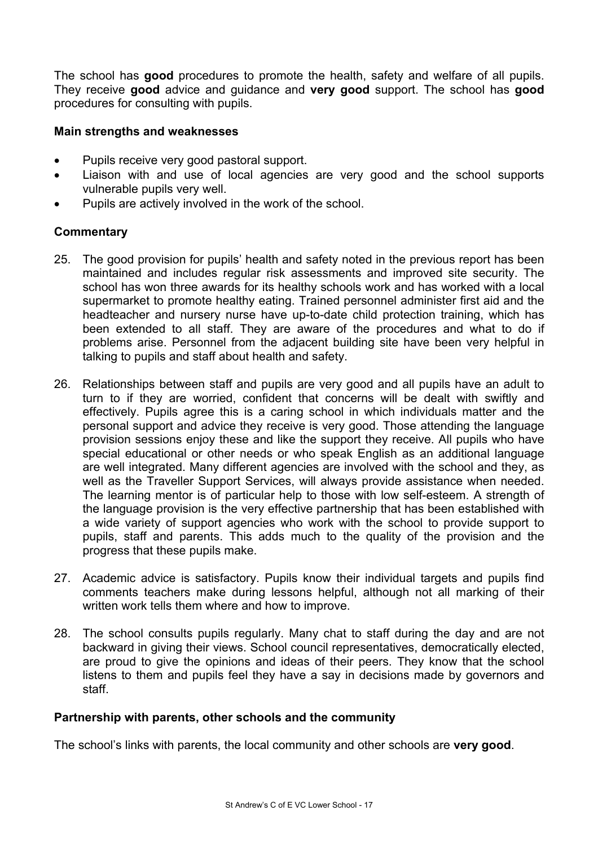The school has **good** procedures to promote the health, safety and welfare of all pupils. They receive **good** advice and guidance and **very good** support. The school has **good** procedures for consulting with pupils.

#### **Main strengths and weaknesses**

- Pupils receive very good pastoral support.
- Liaison with and use of local agencies are very good and the school supports vulnerable pupils very well.
- Pupils are actively involved in the work of the school.

#### **Commentary**

- 25. The good provision for pupils' health and safety noted in the previous report has been maintained and includes regular risk assessments and improved site security. The school has won three awards for its healthy schools work and has worked with a local supermarket to promote healthy eating. Trained personnel administer first aid and the headteacher and nursery nurse have up-to-date child protection training, which has been extended to all staff. They are aware of the procedures and what to do if problems arise. Personnel from the adjacent building site have been very helpful in talking to pupils and staff about health and safety.
- 26. Relationships between staff and pupils are very good and all pupils have an adult to turn to if they are worried, confident that concerns will be dealt with swiftly and effectively. Pupils agree this is a caring school in which individuals matter and the personal support and advice they receive is very good. Those attending the language provision sessions enjoy these and like the support they receive. All pupils who have special educational or other needs or who speak English as an additional language are well integrated. Many different agencies are involved with the school and they, as well as the Traveller Support Services, will always provide assistance when needed. The learning mentor is of particular help to those with low self-esteem. A strength of the language provision is the very effective partnership that has been established with a wide variety of support agencies who work with the school to provide support to pupils, staff and parents. This adds much to the quality of the provision and the progress that these pupils make.
- 27. Academic advice is satisfactory. Pupils know their individual targets and pupils find comments teachers make during lessons helpful, although not all marking of their written work tells them where and how to improve.
- 28. The school consults pupils regularly. Many chat to staff during the day and are not backward in giving their views. School council representatives, democratically elected, are proud to give the opinions and ideas of their peers. They know that the school listens to them and pupils feel they have a say in decisions made by governors and staff.

#### **Partnership with parents, other schools and the community**

The school's links with parents, the local community and other schools are **very good**.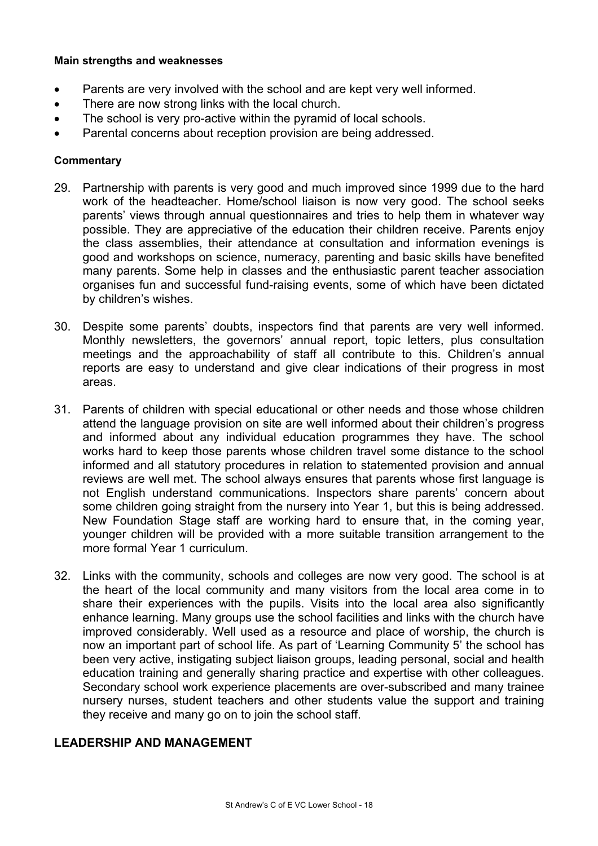#### **Main strengths and weaknesses**

- Parents are very involved with the school and are kept very well informed.
- There are now strong links with the local church.
- The school is very pro-active within the pyramid of local schools.
- Parental concerns about reception provision are being addressed.

#### **Commentary**

- 29. Partnership with parents is very good and much improved since 1999 due to the hard work of the headteacher. Home/school liaison is now very good. The school seeks parents' views through annual questionnaires and tries to help them in whatever way possible. They are appreciative of the education their children receive. Parents enjoy the class assemblies, their attendance at consultation and information evenings is good and workshops on science, numeracy, parenting and basic skills have benefited many parents. Some help in classes and the enthusiastic parent teacher association organises fun and successful fund-raising events, some of which have been dictated by children's wishes.
- 30. Despite some parents' doubts, inspectors find that parents are very well informed. Monthly newsletters, the governors' annual report, topic letters, plus consultation meetings and the approachability of staff all contribute to this. Children's annual reports are easy to understand and give clear indications of their progress in most areas.
- 31. Parents of children with special educational or other needs and those whose children attend the language provision on site are well informed about their children's progress and informed about any individual education programmes they have. The school works hard to keep those parents whose children travel some distance to the school informed and all statutory procedures in relation to statemented provision and annual reviews are well met. The school always ensures that parents whose first language is not English understand communications. Inspectors share parents' concern about some children going straight from the nursery into Year 1, but this is being addressed. New Foundation Stage staff are working hard to ensure that, in the coming year, younger children will be provided with a more suitable transition arrangement to the more formal Year 1 curriculum.
- 32. Links with the community, schools and colleges are now very good. The school is at the heart of the local community and many visitors from the local area come in to share their experiences with the pupils. Visits into the local area also significantly enhance learning. Many groups use the school facilities and links with the church have improved considerably. Well used as a resource and place of worship, the church is now an important part of school life. As part of 'Learning Community 5' the school has been very active, instigating subject liaison groups, leading personal, social and health education training and generally sharing practice and expertise with other colleagues. Secondary school work experience placements are over-subscribed and many trainee nursery nurses, student teachers and other students value the support and training they receive and many go on to join the school staff.

#### **LEADERSHIP AND MANAGEMENT**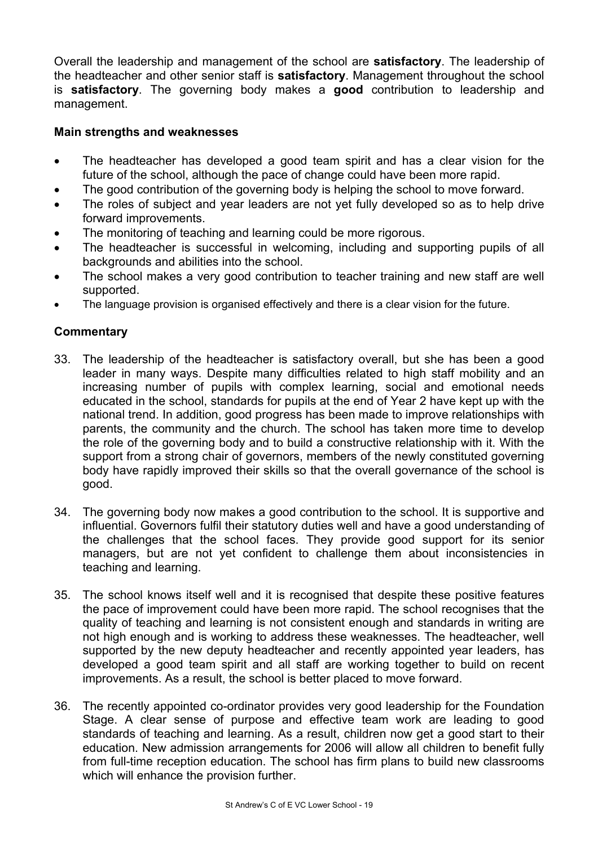Overall the leadership and management of the school are **satisfactory**. The leadership of the headteacher and other senior staff is **satisfactory**. Management throughout the school is **satisfactory**. The governing body makes a **good** contribution to leadership and management.

# **Main strengths and weaknesses**

- The headteacher has developed a good team spirit and has a clear vision for the future of the school, although the pace of change could have been more rapid.
- The good contribution of the governing body is helping the school to move forward.
- The roles of subject and year leaders are not yet fully developed so as to help drive forward improvements.
- The monitoring of teaching and learning could be more rigorous.
- The headteacher is successful in welcoming, including and supporting pupils of all backgrounds and abilities into the school.
- The school makes a very good contribution to teacher training and new staff are well supported.
- The language provision is organised effectively and there is a clear vision for the future.

- 33. The leadership of the headteacher is satisfactory overall, but she has been a good leader in many ways. Despite many difficulties related to high staff mobility and an increasing number of pupils with complex learning, social and emotional needs educated in the school, standards for pupils at the end of Year 2 have kept up with the national trend. In addition, good progress has been made to improve relationships with parents, the community and the church. The school has taken more time to develop the role of the governing body and to build a constructive relationship with it. With the support from a strong chair of governors, members of the newly constituted governing body have rapidly improved their skills so that the overall governance of the school is good.
- 34. The governing body now makes a good contribution to the school. It is supportive and influential. Governors fulfil their statutory duties well and have a good understanding of the challenges that the school faces. They provide good support for its senior managers, but are not yet confident to challenge them about inconsistencies in teaching and learning.
- 35. The school knows itself well and it is recognised that despite these positive features the pace of improvement could have been more rapid. The school recognises that the quality of teaching and learning is not consistent enough and standards in writing are not high enough and is working to address these weaknesses. The headteacher, well supported by the new deputy headteacher and recently appointed year leaders, has developed a good team spirit and all staff are working together to build on recent improvements. As a result, the school is better placed to move forward.
- 36. The recently appointed co-ordinator provides very good leadership for the Foundation Stage. A clear sense of purpose and effective team work are leading to good standards of teaching and learning. As a result, children now get a good start to their education. New admission arrangements for 2006 will allow all children to benefit fully from full-time reception education. The school has firm plans to build new classrooms which will enhance the provision further.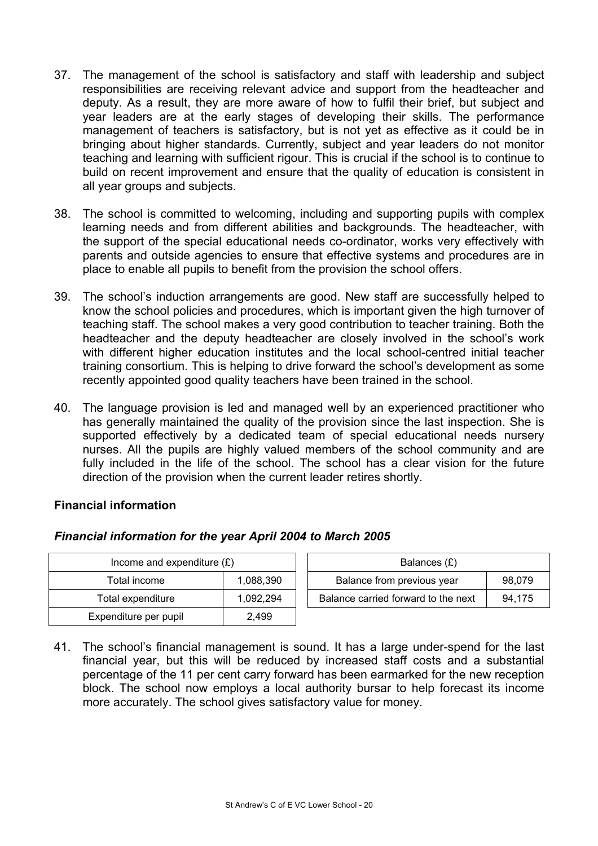- 37. The management of the school is satisfactory and staff with leadership and subject responsibilities are receiving relevant advice and support from the headteacher and deputy. As a result, they are more aware of how to fulfil their brief, but subject and year leaders are at the early stages of developing their skills. The performance management of teachers is satisfactory, but is not yet as effective as it could be in bringing about higher standards. Currently, subject and year leaders do not monitor teaching and learning with sufficient rigour. This is crucial if the school is to continue to build on recent improvement and ensure that the quality of education is consistent in all year groups and subjects.
- 38. The school is committed to welcoming, including and supporting pupils with complex learning needs and from different abilities and backgrounds. The headteacher, with the support of the special educational needs co-ordinator, works very effectively with parents and outside agencies to ensure that effective systems and procedures are in place to enable all pupils to benefit from the provision the school offers.
- 39. The school's induction arrangements are good. New staff are successfully helped to know the school policies and procedures, which is important given the high turnover of teaching staff. The school makes a very good contribution to teacher training. Both the headteacher and the deputy headteacher are closely involved in the school's work with different higher education institutes and the local school-centred initial teacher training consortium. This is helping to drive forward the school's development as some recently appointed good quality teachers have been trained in the school.
- 40. The language provision is led and managed well by an experienced practitioner who has generally maintained the quality of the provision since the last inspection. She is supported effectively by a dedicated team of special educational needs nursery nurses. All the pupils are highly valued members of the school community and are fully included in the life of the school. The school has a clear vision for the future direction of the provision when the current leader retires shortly.

# **Financial information**

#### *Financial information for the year April 2004 to March 2005*

| Income and expenditure $(E)$ |           | Balances (£)                        |        |  |
|------------------------------|-----------|-------------------------------------|--------|--|
| Total income                 | 1,088,390 | Balance from previous year          | 98.079 |  |
| Total expenditure            | 1.092.294 | Balance carried forward to the next | 94.175 |  |
| Expenditure per pupil        | 2.499     |                                     |        |  |

41. The school's financial management is sound. It has a large under-spend for the last financial year, but this will be reduced by increased staff costs and a substantial percentage of the 11 per cent carry forward has been earmarked for the new reception block. The school now employs a local authority bursar to help forecast its income more accurately. The school gives satisfactory value for money.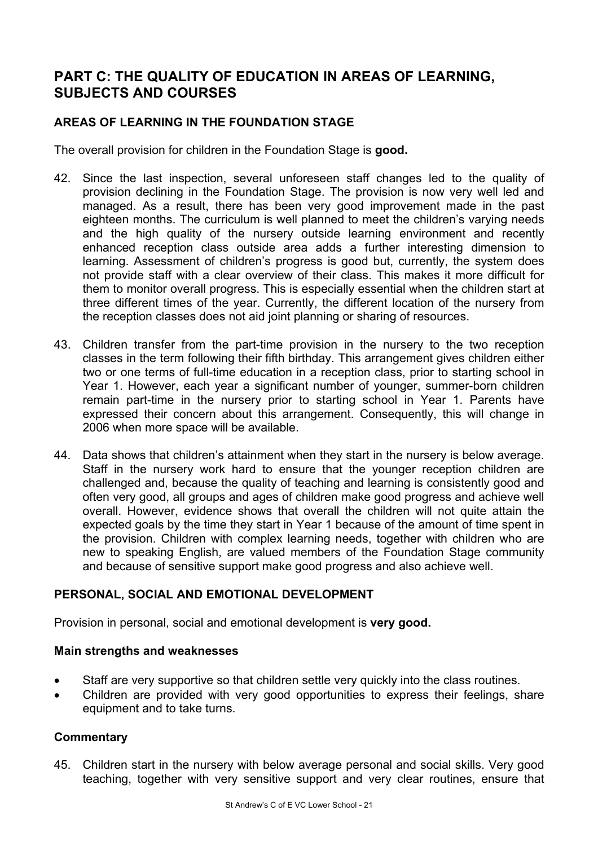# **PART C: THE QUALITY OF EDUCATION IN AREAS OF LEARNING, SUBJECTS AND COURSES**

# **AREAS OF LEARNING IN THE FOUNDATION STAGE**

The overall provision for children in the Foundation Stage is **good.**

- 42. Since the last inspection, several unforeseen staff changes led to the quality of provision declining in the Foundation Stage. The provision is now very well led and managed. As a result, there has been very good improvement made in the past eighteen months. The curriculum is well planned to meet the children's varying needs and the high quality of the nursery outside learning environment and recently enhanced reception class outside area adds a further interesting dimension to learning. Assessment of children's progress is good but, currently, the system does not provide staff with a clear overview of their class. This makes it more difficult for them to monitor overall progress. This is especially essential when the children start at three different times of the year. Currently, the different location of the nursery from the reception classes does not aid joint planning or sharing of resources.
- 43. Children transfer from the part-time provision in the nursery to the two reception classes in the term following their fifth birthday. This arrangement gives children either two or one terms of full-time education in a reception class, prior to starting school in Year 1. However, each year a significant number of younger, summer-born children remain part-time in the nursery prior to starting school in Year 1. Parents have expressed their concern about this arrangement. Consequently, this will change in 2006 when more space will be available.
- 44. Data shows that children's attainment when they start in the nursery is below average. Staff in the nursery work hard to ensure that the younger reception children are challenged and, because the quality of teaching and learning is consistently good and often very good, all groups and ages of children make good progress and achieve well overall. However, evidence shows that overall the children will not quite attain the expected goals by the time they start in Year 1 because of the amount of time spent in the provision. Children with complex learning needs, together with children who are new to speaking English, are valued members of the Foundation Stage community and because of sensitive support make good progress and also achieve well.

# **PERSONAL, SOCIAL AND EMOTIONAL DEVELOPMENT**

Provision in personal, social and emotional development is **very good.** 

#### **Main strengths and weaknesses**

- Staff are very supportive so that children settle very quickly into the class routines.
- Children are provided with very good opportunities to express their feelings, share equipment and to take turns.

#### **Commentary**

45. Children start in the nursery with below average personal and social skills. Very good teaching, together with very sensitive support and very clear routines, ensure that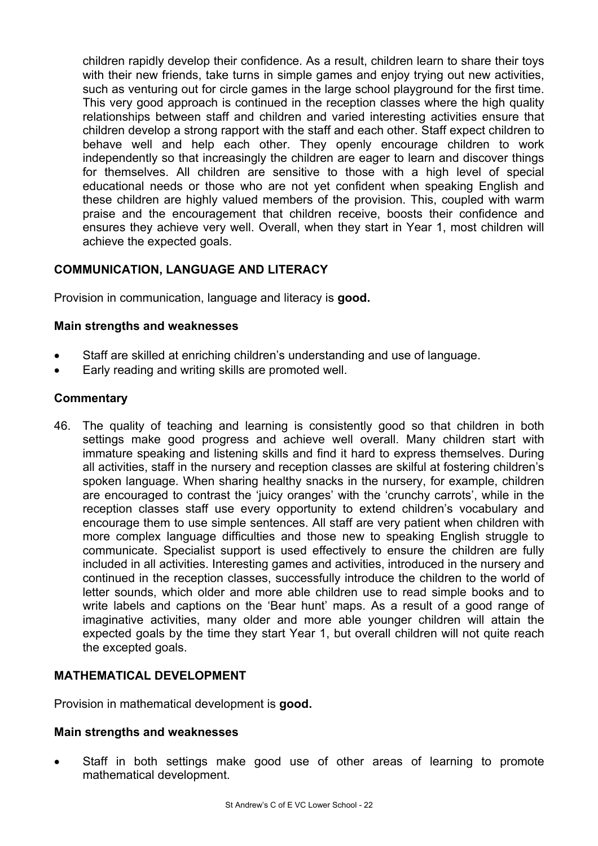children rapidly develop their confidence. As a result, children learn to share their toys with their new friends, take turns in simple games and enjoy trying out new activities, such as venturing out for circle games in the large school playground for the first time. This very good approach is continued in the reception classes where the high quality relationships between staff and children and varied interesting activities ensure that children develop a strong rapport with the staff and each other. Staff expect children to behave well and help each other. They openly encourage children to work independently so that increasingly the children are eager to learn and discover things for themselves. All children are sensitive to those with a high level of special educational needs or those who are not yet confident when speaking English and these children are highly valued members of the provision. This, coupled with warm praise and the encouragement that children receive, boosts their confidence and ensures they achieve very well. Overall, when they start in Year 1, most children will achieve the expected goals.

# **COMMUNICATION, LANGUAGE AND LITERACY**

Provision in communication, language and literacy is **good.** 

#### **Main strengths and weaknesses**

- Staff are skilled at enriching children's understanding and use of language.
- Early reading and writing skills are promoted well.

#### **Commentary**

46. The quality of teaching and learning is consistently good so that children in both settings make good progress and achieve well overall. Many children start with immature speaking and listening skills and find it hard to express themselves. During all activities, staff in the nursery and reception classes are skilful at fostering children's spoken language. When sharing healthy snacks in the nursery, for example, children are encouraged to contrast the 'juicy oranges' with the 'crunchy carrots', while in the reception classes staff use every opportunity to extend children's vocabulary and encourage them to use simple sentences. All staff are very patient when children with more complex language difficulties and those new to speaking English struggle to communicate. Specialist support is used effectively to ensure the children are fully included in all activities. Interesting games and activities, introduced in the nursery and continued in the reception classes, successfully introduce the children to the world of letter sounds, which older and more able children use to read simple books and to write labels and captions on the 'Bear hunt' maps. As a result of a good range of imaginative activities, many older and more able younger children will attain the expected goals by the time they start Year 1, but overall children will not quite reach the excepted goals.

#### **MATHEMATICAL DEVELOPMENT**

Provision in mathematical development is **good.** 

#### **Main strengths and weaknesses**

Staff in both settings make good use of other areas of learning to promote mathematical development.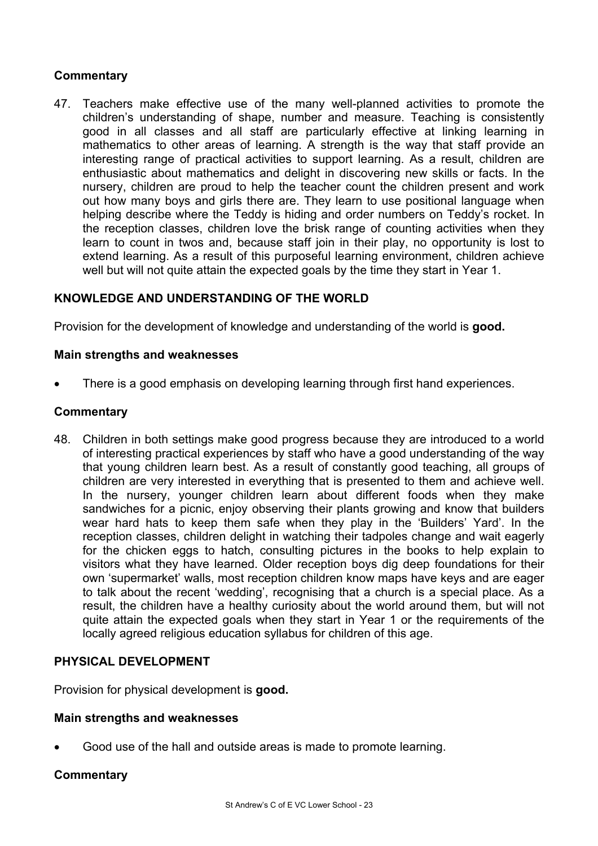# **Commentary**

47. Teachers make effective use of the many well-planned activities to promote the children's understanding of shape, number and measure. Teaching is consistently good in all classes and all staff are particularly effective at linking learning in mathematics to other areas of learning. A strength is the way that staff provide an interesting range of practical activities to support learning. As a result, children are enthusiastic about mathematics and delight in discovering new skills or facts. In the nursery, children are proud to help the teacher count the children present and work out how many boys and girls there are. They learn to use positional language when helping describe where the Teddy is hiding and order numbers on Teddy's rocket. In the reception classes, children love the brisk range of counting activities when they learn to count in twos and, because staff join in their play, no opportunity is lost to extend learning. As a result of this purposeful learning environment, children achieve well but will not quite attain the expected goals by the time they start in Year 1.

# **KNOWLEDGE AND UNDERSTANDING OF THE WORLD**

Provision for the development of knowledge and understanding of the world is **good.** 

#### **Main strengths and weaknesses**

• There is a good emphasis on developing learning through first hand experiences.

#### **Commentary**

48. Children in both settings make good progress because they are introduced to a world of interesting practical experiences by staff who have a good understanding of the way that young children learn best. As a result of constantly good teaching, all groups of children are very interested in everything that is presented to them and achieve well. In the nursery, younger children learn about different foods when they make sandwiches for a picnic, enjoy observing their plants growing and know that builders wear hard hats to keep them safe when they play in the 'Builders' Yard'. In the reception classes, children delight in watching their tadpoles change and wait eagerly for the chicken eggs to hatch, consulting pictures in the books to help explain to visitors what they have learned. Older reception boys dig deep foundations for their own 'supermarket' walls, most reception children know maps have keys and are eager to talk about the recent 'wedding', recognising that a church is a special place. As a result, the children have a healthy curiosity about the world around them, but will not quite attain the expected goals when they start in Year 1 or the requirements of the locally agreed religious education syllabus for children of this age.

#### **PHYSICAL DEVELOPMENT**

Provision for physical development is **good.**

#### **Main strengths and weaknesses**

• Good use of the hall and outside areas is made to promote learning.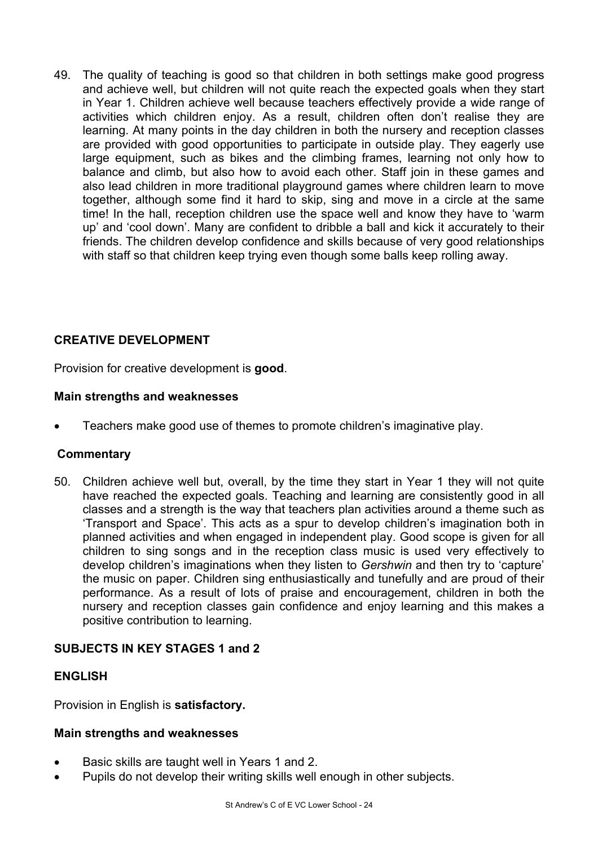49. The quality of teaching is good so that children in both settings make good progress and achieve well, but children will not quite reach the expected goals when they start in Year 1. Children achieve well because teachers effectively provide a wide range of activities which children enjoy. As a result, children often don't realise they are learning. At many points in the day children in both the nursery and reception classes are provided with good opportunities to participate in outside play. They eagerly use large equipment, such as bikes and the climbing frames, learning not only how to balance and climb, but also how to avoid each other. Staff join in these games and also lead children in more traditional playground games where children learn to move together, although some find it hard to skip, sing and move in a circle at the same time! In the hall, reception children use the space well and know they have to 'warm up' and 'cool down'. Many are confident to dribble a ball and kick it accurately to their friends. The children develop confidence and skills because of very good relationships with staff so that children keep trying even though some balls keep rolling away.

# **CREATIVE DEVELOPMENT**

Provision for creative development is **good**.

#### **Main strengths and weaknesses**

• Teachers make good use of themes to promote children's imaginative play.

#### **Commentary**

50. Children achieve well but, overall, by the time they start in Year 1 they will not quite have reached the expected goals. Teaching and learning are consistently good in all classes and a strength is the way that teachers plan activities around a theme such as 'Transport and Space'. This acts as a spur to develop children's imagination both in planned activities and when engaged in independent play. Good scope is given for all children to sing songs and in the reception class music is used very effectively to develop children's imaginations when they listen to *Gershwin* and then try to 'capture' the music on paper. Children sing enthusiastically and tunefully and are proud of their performance. As a result of lots of praise and encouragement, children in both the nursery and reception classes gain confidence and enjoy learning and this makes a positive contribution to learning.

#### **SUBJECTS IN KEY STAGES 1 and 2**

#### **ENGLISH**

Provision in English is **satisfactory.** 

#### **Main strengths and weaknesses**

- Basic skills are taught well in Years 1 and 2.
- Pupils do not develop their writing skills well enough in other subjects.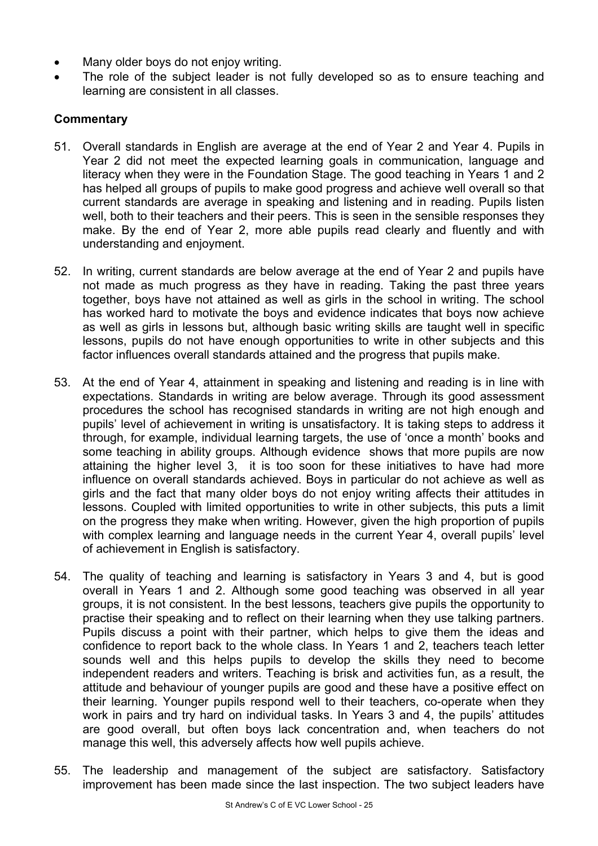- Many older boys do not enjoy writing.
- The role of the subject leader is not fully developed so as to ensure teaching and learning are consistent in all classes.

- 51. Overall standards in English are average at the end of Year 2 and Year 4. Pupils in Year 2 did not meet the expected learning goals in communication, language and literacy when they were in the Foundation Stage. The good teaching in Years 1 and 2 has helped all groups of pupils to make good progress and achieve well overall so that current standards are average in speaking and listening and in reading. Pupils listen well, both to their teachers and their peers. This is seen in the sensible responses they make. By the end of Year 2, more able pupils read clearly and fluently and with understanding and enjoyment.
- 52. In writing, current standards are below average at the end of Year 2 and pupils have not made as much progress as they have in reading. Taking the past three years together, boys have not attained as well as girls in the school in writing. The school has worked hard to motivate the boys and evidence indicates that boys now achieve as well as girls in lessons but, although basic writing skills are taught well in specific lessons, pupils do not have enough opportunities to write in other subjects and this factor influences overall standards attained and the progress that pupils make.
- 53. At the end of Year 4, attainment in speaking and listening and reading is in line with expectations. Standards in writing are below average. Through its good assessment procedures the school has recognised standards in writing are not high enough and pupils' level of achievement in writing is unsatisfactory. It is taking steps to address it through, for example, individual learning targets, the use of 'once a month' books and some teaching in ability groups. Although evidence shows that more pupils are now attaining the higher level 3, it is too soon for these initiatives to have had more influence on overall standards achieved. Boys in particular do not achieve as well as girls and the fact that many older boys do not enjoy writing affects their attitudes in lessons. Coupled with limited opportunities to write in other subjects, this puts a limit on the progress they make when writing. However, given the high proportion of pupils with complex learning and language needs in the current Year 4, overall pupils' level of achievement in English is satisfactory.
- 54. The quality of teaching and learning is satisfactory in Years 3 and 4, but is good overall in Years 1 and 2. Although some good teaching was observed in all year groups, it is not consistent. In the best lessons, teachers give pupils the opportunity to practise their speaking and to reflect on their learning when they use talking partners. Pupils discuss a point with their partner, which helps to give them the ideas and confidence to report back to the whole class. In Years 1 and 2, teachers teach letter sounds well and this helps pupils to develop the skills they need to become independent readers and writers. Teaching is brisk and activities fun, as a result, the attitude and behaviour of younger pupils are good and these have a positive effect on their learning. Younger pupils respond well to their teachers, co-operate when they work in pairs and try hard on individual tasks. In Years 3 and 4, the pupils' attitudes are good overall, but often boys lack concentration and, when teachers do not manage this well, this adversely affects how well pupils achieve.
- 55. The leadership and management of the subject are satisfactory. Satisfactory improvement has been made since the last inspection. The two subject leaders have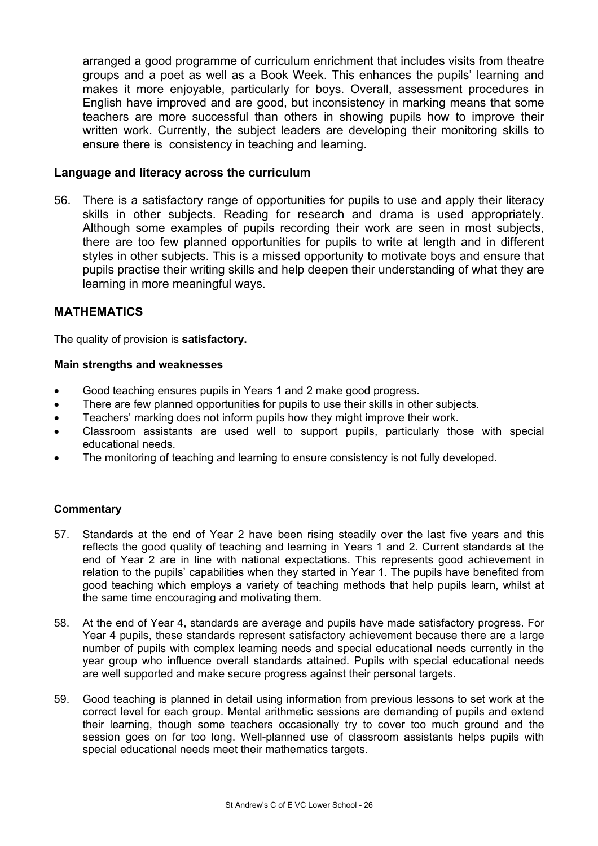arranged a good programme of curriculum enrichment that includes visits from theatre groups and a poet as well as a Book Week. This enhances the pupils' learning and makes it more enjoyable, particularly for boys. Overall, assessment procedures in English have improved and are good, but inconsistency in marking means that some teachers are more successful than others in showing pupils how to improve their written work. Currently, the subject leaders are developing their monitoring skills to ensure there is consistency in teaching and learning.

#### **Language and literacy across the curriculum**

56. There is a satisfactory range of opportunities for pupils to use and apply their literacy skills in other subjects. Reading for research and drama is used appropriately. Although some examples of pupils recording their work are seen in most subjects, there are too few planned opportunities for pupils to write at length and in different styles in other subjects. This is a missed opportunity to motivate boys and ensure that pupils practise their writing skills and help deepen their understanding of what they are learning in more meaningful ways.

#### **MATHEMATICS**

The quality of provision is **satisfactory.** 

#### **Main strengths and weaknesses**

- Good teaching ensures pupils in Years 1 and 2 make good progress.
- There are few planned opportunities for pupils to use their skills in other subjects.
- Teachers' marking does not inform pupils how they might improve their work.
- Classroom assistants are used well to support pupils, particularly those with special educational needs.
- The monitoring of teaching and learning to ensure consistency is not fully developed.

- 57. Standards at the end of Year 2 have been rising steadily over the last five years and this reflects the good quality of teaching and learning in Years 1 and 2. Current standards at the end of Year 2 are in line with national expectations. This represents good achievement in relation to the pupils' capabilities when they started in Year 1. The pupils have benefited from good teaching which employs a variety of teaching methods that help pupils learn, whilst at the same time encouraging and motivating them.
- 58. At the end of Year 4, standards are average and pupils have made satisfactory progress. For Year 4 pupils, these standards represent satisfactory achievement because there are a large number of pupils with complex learning needs and special educational needs currently in the year group who influence overall standards attained. Pupils with special educational needs are well supported and make secure progress against their personal targets.
- 59. Good teaching is planned in detail using information from previous lessons to set work at the correct level for each group. Mental arithmetic sessions are demanding of pupils and extend their learning, though some teachers occasionally try to cover too much ground and the session goes on for too long. Well-planned use of classroom assistants helps pupils with special educational needs meet their mathematics targets.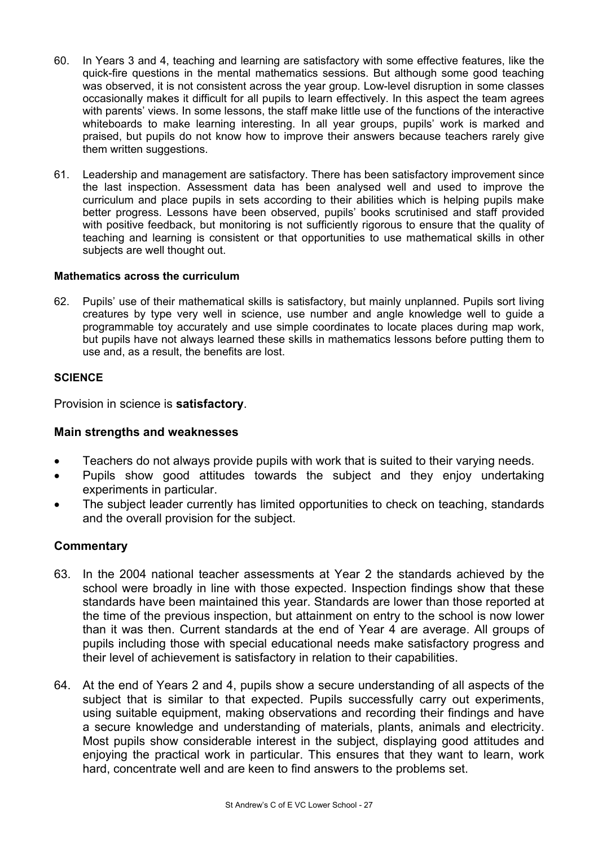- 60. In Years 3 and 4, teaching and learning are satisfactory with some effective features, like the quick-fire questions in the mental mathematics sessions. But although some good teaching was observed, it is not consistent across the year group. Low-level disruption in some classes occasionally makes it difficult for all pupils to learn effectively. In this aspect the team agrees with parents' views. In some lessons, the staff make little use of the functions of the interactive whiteboards to make learning interesting. In all year groups, pupils' work is marked and praised, but pupils do not know how to improve their answers because teachers rarely give them written suggestions.
- 61. Leadership and management are satisfactory. There has been satisfactory improvement since the last inspection. Assessment data has been analysed well and used to improve the curriculum and place pupils in sets according to their abilities which is helping pupils make better progress. Lessons have been observed, pupils' books scrutinised and staff provided with positive feedback, but monitoring is not sufficiently rigorous to ensure that the quality of teaching and learning is consistent or that opportunities to use mathematical skills in other subjects are well thought out.

#### **Mathematics across the curriculum**

62. Pupils' use of their mathematical skills is satisfactory, but mainly unplanned. Pupils sort living creatures by type very well in science, use number and angle knowledge well to guide a programmable toy accurately and use simple coordinates to locate places during map work, but pupils have not always learned these skills in mathematics lessons before putting them to use and, as a result, the benefits are lost.

#### **SCIENCE**

Provision in science is **satisfactory**.

#### **Main strengths and weaknesses**

- Teachers do not always provide pupils with work that is suited to their varying needs.
- Pupils show good attitudes towards the subject and they enjoy undertaking experiments in particular.
- The subject leader currently has limited opportunities to check on teaching, standards and the overall provision for the subject.

- 63. In the 2004 national teacher assessments at Year 2 the standards achieved by the school were broadly in line with those expected. Inspection findings show that these standards have been maintained this year. Standards are lower than those reported at the time of the previous inspection, but attainment on entry to the school is now lower than it was then. Current standards at the end of Year 4 are average. All groups of pupils including those with special educational needs make satisfactory progress and their level of achievement is satisfactory in relation to their capabilities.
- 64. At the end of Years 2 and 4, pupils show a secure understanding of all aspects of the subiect that is similar to that expected. Pupils successfully carry out experiments, using suitable equipment, making observations and recording their findings and have a secure knowledge and understanding of materials, plants, animals and electricity. Most pupils show considerable interest in the subject, displaying good attitudes and enjoying the practical work in particular. This ensures that they want to learn, work hard, concentrate well and are keen to find answers to the problems set.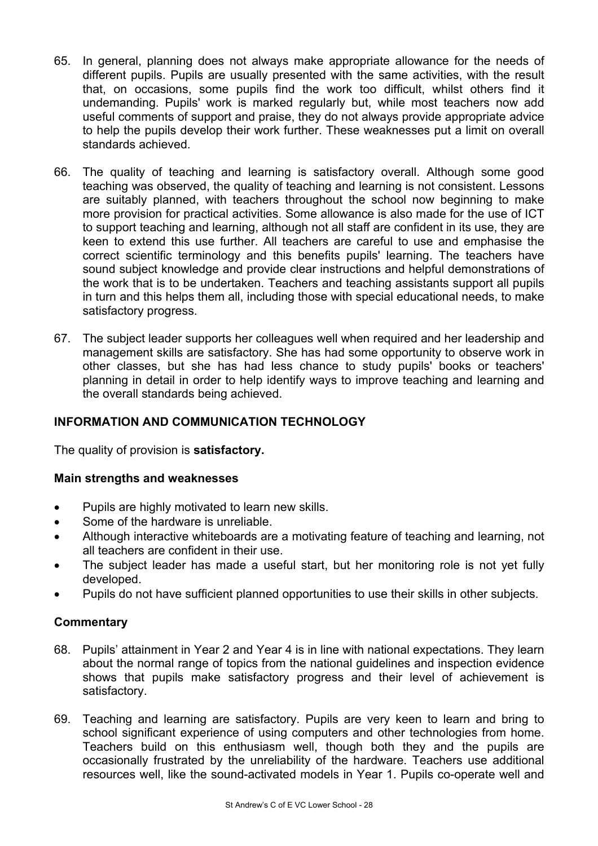- 65. In general, planning does not always make appropriate allowance for the needs of different pupils. Pupils are usually presented with the same activities, with the result that, on occasions, some pupils find the work too difficult, whilst others find it undemanding. Pupils' work is marked regularly but, while most teachers now add useful comments of support and praise, they do not always provide appropriate advice to help the pupils develop their work further. These weaknesses put a limit on overall standards achieved.
- 66. The quality of teaching and learning is satisfactory overall. Although some good teaching was observed, the quality of teaching and learning is not consistent. Lessons are suitably planned, with teachers throughout the school now beginning to make more provision for practical activities. Some allowance is also made for the use of ICT to support teaching and learning, although not all staff are confident in its use, they are keen to extend this use further. All teachers are careful to use and emphasise the correct scientific terminology and this benefits pupils' learning. The teachers have sound subject knowledge and provide clear instructions and helpful demonstrations of the work that is to be undertaken. Teachers and teaching assistants support all pupils in turn and this helps them all, including those with special educational needs, to make satisfactory progress.
- 67. The subject leader supports her colleagues well when required and her leadership and management skills are satisfactory. She has had some opportunity to observe work in other classes, but she has had less chance to study pupils' books or teachers' planning in detail in order to help identify ways to improve teaching and learning and the overall standards being achieved.

# **INFORMATION AND COMMUNICATION TECHNOLOGY**

The quality of provision is **satisfactory.** 

#### **Main strengths and weaknesses**

- Pupils are highly motivated to learn new skills.
- Some of the hardware is unreliable.
- Although interactive whiteboards are a motivating feature of teaching and learning, not all teachers are confident in their use.
- The subject leader has made a useful start, but her monitoring role is not yet fully developed.
- Pupils do not have sufficient planned opportunities to use their skills in other subjects.

- 68. Pupils' attainment in Year 2 and Year 4 is in line with national expectations. They learn about the normal range of topics from the national guidelines and inspection evidence shows that pupils make satisfactory progress and their level of achievement is satisfactory.
- 69. Teaching and learning are satisfactory. Pupils are very keen to learn and bring to school significant experience of using computers and other technologies from home. Teachers build on this enthusiasm well, though both they and the pupils are occasionally frustrated by the unreliability of the hardware. Teachers use additional resources well, like the sound-activated models in Year 1. Pupils co-operate well and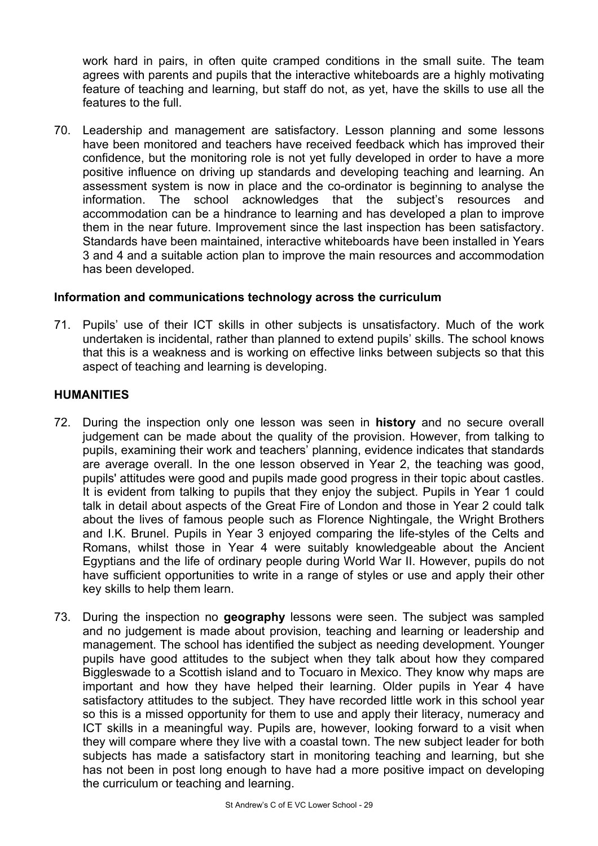work hard in pairs, in often quite cramped conditions in the small suite. The team agrees with parents and pupils that the interactive whiteboards are a highly motivating feature of teaching and learning, but staff do not, as yet, have the skills to use all the features to the full.

70. Leadership and management are satisfactory. Lesson planning and some lessons have been monitored and teachers have received feedback which has improved their confidence, but the monitoring role is not yet fully developed in order to have a more positive influence on driving up standards and developing teaching and learning. An assessment system is now in place and the co-ordinator is beginning to analyse the information. The school acknowledges that the subject's resources and accommodation can be a hindrance to learning and has developed a plan to improve them in the near future. Improvement since the last inspection has been satisfactory. Standards have been maintained, interactive whiteboards have been installed in Years 3 and 4 and a suitable action plan to improve the main resources and accommodation has been developed.

#### **Information and communications technology across the curriculum**

71. Pupils' use of their ICT skills in other subjects is unsatisfactory. Much of the work undertaken is incidental, rather than planned to extend pupils' skills. The school knows that this is a weakness and is working on effective links between subjects so that this aspect of teaching and learning is developing.

#### **HUMANITIES**

- 72. During the inspection only one lesson was seen in **history** and no secure overall judgement can be made about the quality of the provision. However, from talking to pupils, examining their work and teachers' planning, evidence indicates that standards are average overall. In the one lesson observed in Year 2, the teaching was good, pupils' attitudes were good and pupils made good progress in their topic about castles. It is evident from talking to pupils that they enjoy the subject. Pupils in Year 1 could talk in detail about aspects of the Great Fire of London and those in Year 2 could talk about the lives of famous people such as Florence Nightingale, the Wright Brothers and I.K. Brunel. Pupils in Year 3 enjoyed comparing the life-styles of the Celts and Romans, whilst those in Year 4 were suitably knowledgeable about the Ancient Egyptians and the life of ordinary people during World War II. However, pupils do not have sufficient opportunities to write in a range of styles or use and apply their other key skills to help them learn.
- 73. During the inspection no **geography** lessons were seen. The subject was sampled and no judgement is made about provision, teaching and learning or leadership and management. The school has identified the subject as needing development. Younger pupils have good attitudes to the subject when they talk about how they compared Biggleswade to a Scottish island and to Tocuaro in Mexico. They know why maps are important and how they have helped their learning. Older pupils in Year 4 have satisfactory attitudes to the subject. They have recorded little work in this school year so this is a missed opportunity for them to use and apply their literacy, numeracy and ICT skills in a meaningful way. Pupils are, however, looking forward to a visit when they will compare where they live with a coastal town. The new subject leader for both subjects has made a satisfactory start in monitoring teaching and learning, but she has not been in post long enough to have had a more positive impact on developing the curriculum or teaching and learning.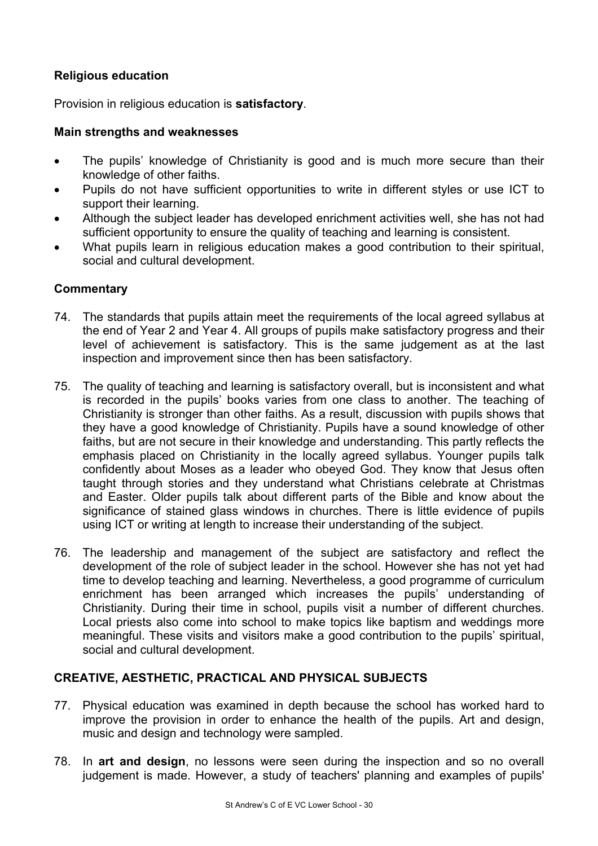# **Religious education**

Provision in religious education is **satisfactory**.

#### **Main strengths and weaknesses**

- The pupils' knowledge of Christianity is good and is much more secure than their knowledge of other faiths.
- Pupils do not have sufficient opportunities to write in different styles or use ICT to support their learning.
- Although the subject leader has developed enrichment activities well, she has not had sufficient opportunity to ensure the quality of teaching and learning is consistent.
- What pupils learn in religious education makes a good contribution to their spiritual, social and cultural development.

#### **Commentary**

- 74. The standards that pupils attain meet the requirements of the local agreed syllabus at the end of Year 2 and Year 4. All groups of pupils make satisfactory progress and their level of achievement is satisfactory. This is the same judgement as at the last inspection and improvement since then has been satisfactory.
- 75. The quality of teaching and learning is satisfactory overall, but is inconsistent and what is recorded in the pupils' books varies from one class to another. The teaching of Christianity is stronger than other faiths. As a result, discussion with pupils shows that they have a good knowledge of Christianity. Pupils have a sound knowledge of other faiths, but are not secure in their knowledge and understanding. This partly reflects the emphasis placed on Christianity in the locally agreed syllabus. Younger pupils talk confidently about Moses as a leader who obeyed God. They know that Jesus often taught through stories and they understand what Christians celebrate at Christmas and Easter. Older pupils talk about different parts of the Bible and know about the significance of stained glass windows in churches. There is little evidence of pupils using ICT or writing at length to increase their understanding of the subject.
- 76. The leadership and management of the subject are satisfactory and reflect the development of the role of subject leader in the school. However she has not yet had time to develop teaching and learning. Nevertheless, a good programme of curriculum enrichment has been arranged which increases the pupils' understanding of Christianity. During their time in school, pupils visit a number of different churches. Local priests also come into school to make topics like baptism and weddings more meaningful. These visits and visitors make a good contribution to the pupils' spiritual, social and cultural development.

#### **CREATIVE, AESTHETIC, PRACTICAL AND PHYSICAL SUBJECTS**

- 77. Physical education was examined in depth because the school has worked hard to improve the provision in order to enhance the health of the pupils. Art and design, music and design and technology were sampled.
- 78. In **art and design**, no lessons were seen during the inspection and so no overall judgement is made. However, a study of teachers' planning and examples of pupils'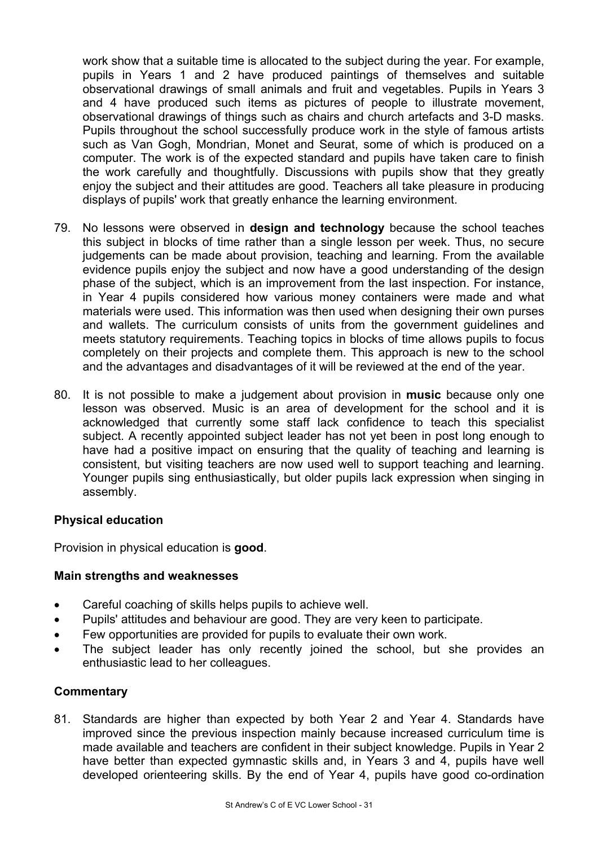work show that a suitable time is allocated to the subject during the year. For example, pupils in Years 1 and 2 have produced paintings of themselves and suitable observational drawings of small animals and fruit and vegetables. Pupils in Years 3 and 4 have produced such items as pictures of people to illustrate movement, observational drawings of things such as chairs and church artefacts and 3-D masks. Pupils throughout the school successfully produce work in the style of famous artists such as Van Gogh, Mondrian, Monet and Seurat, some of which is produced on a computer. The work is of the expected standard and pupils have taken care to finish the work carefully and thoughtfully. Discussions with pupils show that they greatly enjoy the subject and their attitudes are good. Teachers all take pleasure in producing displays of pupils' work that greatly enhance the learning environment.

- 79. No lessons were observed in **design and technology** because the school teaches this subject in blocks of time rather than a single lesson per week. Thus, no secure judgements can be made about provision, teaching and learning. From the available evidence pupils enjoy the subject and now have a good understanding of the design phase of the subject, which is an improvement from the last inspection. For instance, in Year 4 pupils considered how various money containers were made and what materials were used. This information was then used when designing their own purses and wallets. The curriculum consists of units from the government guidelines and meets statutory requirements. Teaching topics in blocks of time allows pupils to focus completely on their projects and complete them. This approach is new to the school and the advantages and disadvantages of it will be reviewed at the end of the year.
- 80. It is not possible to make a judgement about provision in **music** because only one lesson was observed. Music is an area of development for the school and it is acknowledged that currently some staff lack confidence to teach this specialist subject. A recently appointed subject leader has not yet been in post long enough to have had a positive impact on ensuring that the quality of teaching and learning is consistent, but visiting teachers are now used well to support teaching and learning. Younger pupils sing enthusiastically, but older pupils lack expression when singing in assembly.

#### **Physical education**

Provision in physical education is **good**.

#### **Main strengths and weaknesses**

- Careful coaching of skills helps pupils to achieve well.
- Pupils' attitudes and behaviour are good. They are very keen to participate.
- Few opportunities are provided for pupils to evaluate their own work.
- The subject leader has only recently joined the school, but she provides an enthusiastic lead to her colleagues.

#### **Commentary**

81. Standards are higher than expected by both Year 2 and Year 4. Standards have improved since the previous inspection mainly because increased curriculum time is made available and teachers are confident in their subject knowledge. Pupils in Year 2 have better than expected gymnastic skills and, in Years 3 and 4, pupils have well developed orienteering skills. By the end of Year 4, pupils have good co-ordination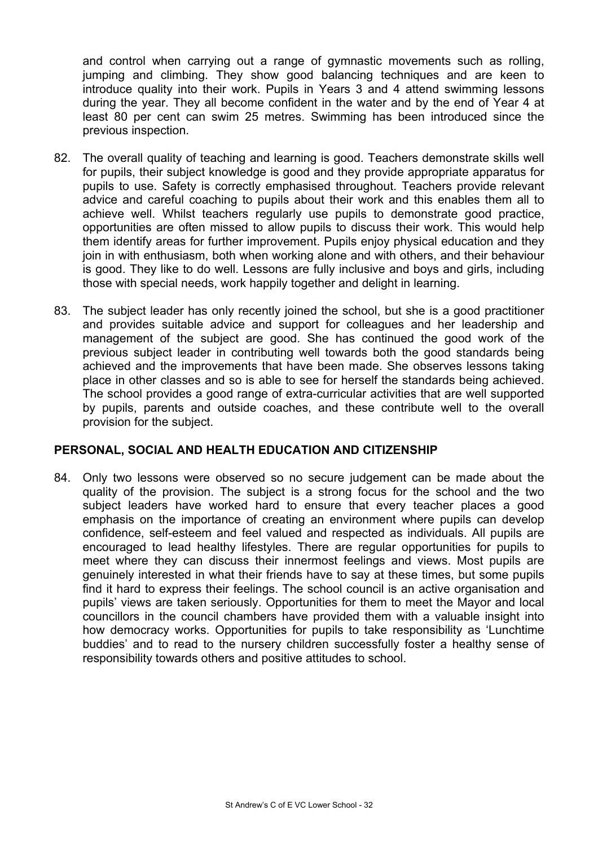and control when carrying out a range of gymnastic movements such as rolling, jumping and climbing. They show good balancing techniques and are keen to introduce quality into their work. Pupils in Years 3 and 4 attend swimming lessons during the year. They all become confident in the water and by the end of Year 4 at least 80 per cent can swim 25 metres. Swimming has been introduced since the previous inspection.

- 82. The overall quality of teaching and learning is good. Teachers demonstrate skills well for pupils, their subject knowledge is good and they provide appropriate apparatus for pupils to use. Safety is correctly emphasised throughout. Teachers provide relevant advice and careful coaching to pupils about their work and this enables them all to achieve well. Whilst teachers regularly use pupils to demonstrate good practice, opportunities are often missed to allow pupils to discuss their work. This would help them identify areas for further improvement. Pupils enjoy physical education and they join in with enthusiasm, both when working alone and with others, and their behaviour is good. They like to do well. Lessons are fully inclusive and boys and girls, including those with special needs, work happily together and delight in learning.
- 83. The subject leader has only recently joined the school, but she is a good practitioner and provides suitable advice and support for colleagues and her leadership and management of the subject are good. She has continued the good work of the previous subject leader in contributing well towards both the good standards being achieved and the improvements that have been made. She observes lessons taking place in other classes and so is able to see for herself the standards being achieved. The school provides a good range of extra-curricular activities that are well supported by pupils, parents and outside coaches, and these contribute well to the overall provision for the subject.

#### **PERSONAL, SOCIAL AND HEALTH EDUCATION AND CITIZENSHIP**

84. Only two lessons were observed so no secure judgement can be made about the quality of the provision. The subject is a strong focus for the school and the two subject leaders have worked hard to ensure that every teacher places a good emphasis on the importance of creating an environment where pupils can develop confidence, self-esteem and feel valued and respected as individuals. All pupils are encouraged to lead healthy lifestyles. There are regular opportunities for pupils to meet where they can discuss their innermost feelings and views. Most pupils are genuinely interested in what their friends have to say at these times, but some pupils find it hard to express their feelings. The school council is an active organisation and pupils' views are taken seriously. Opportunities for them to meet the Mayor and local councillors in the council chambers have provided them with a valuable insight into how democracy works. Opportunities for pupils to take responsibility as 'Lunchtime buddies' and to read to the nursery children successfully foster a healthy sense of responsibility towards others and positive attitudes to school.